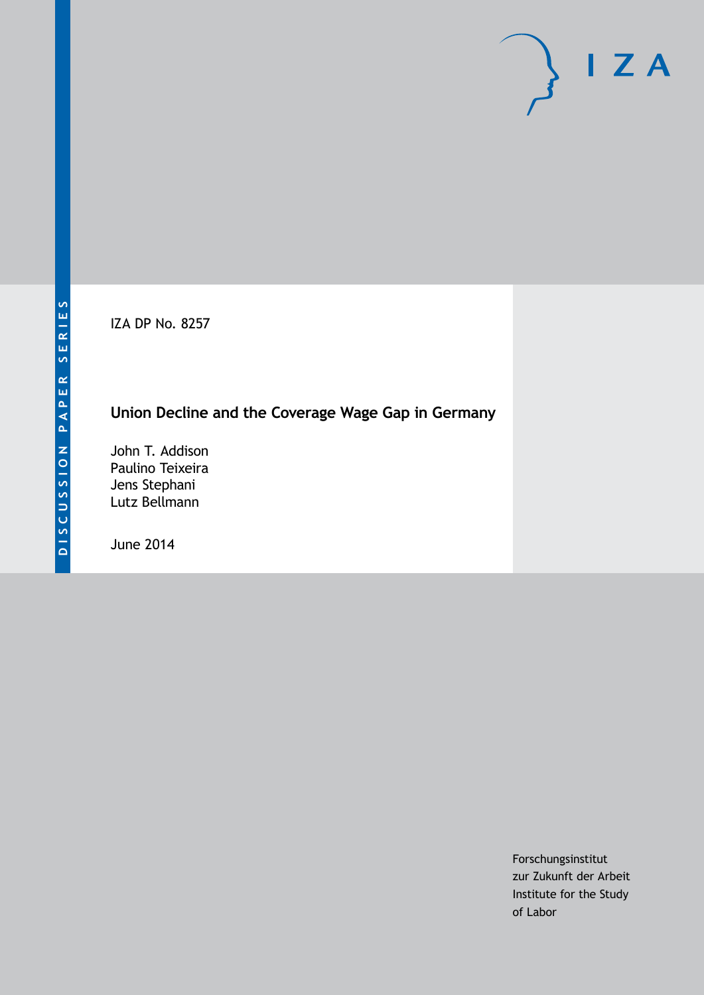IZA DP No. 8257

# **Union Decline and the Coverage Wage Gap in Germany**

John T. Addison Paulino Teixeira Jens Stephani Lutz Bellmann

June 2014

Forschungsinstitut zur Zukunft der Arbeit Institute for the Study of Labor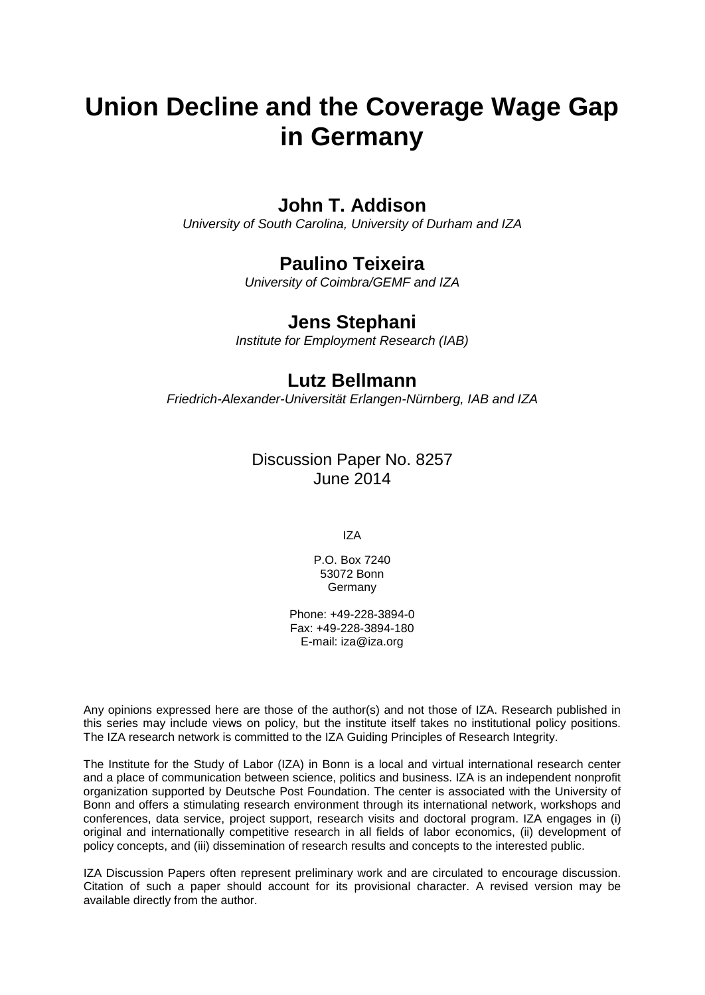# **Union Decline and the Coverage Wage Gap in Germany**

## **John T. Addison**

*University of South Carolina, University of Durham and IZA*

# **Paulino Teixeira**

*University of Coimbra/GEMF and IZA*

### **Jens Stephani**

*Institute for Employment Research (IAB)*

### **Lutz Bellmann**

*Friedrich-Alexander-Universität Erlangen-Nürnberg, IAB and IZA*

Discussion Paper No. 8257 June 2014

IZA

P.O. Box 7240 53072 Bonn **Germany** 

Phone: +49-228-3894-0 Fax: +49-228-3894-180 E-mail: [iza@iza.org](mailto:iza@iza.org)

Any opinions expressed here are those of the author(s) and not those of IZA. Research published in this series may include views on policy, but the institute itself takes no institutional policy positions. The IZA research network is committed to the IZA Guiding Principles of Research Integrity.

The Institute for the Study of Labor (IZA) in Bonn is a local and virtual international research center and a place of communication between science, politics and business. IZA is an independent nonprofit organization supported by Deutsche Post Foundation. The center is associated with the University of Bonn and offers a stimulating research environment through its international network, workshops and conferences, data service, project support, research visits and doctoral program. IZA engages in (i) original and internationally competitive research in all fields of labor economics, (ii) development of policy concepts, and (iii) dissemination of research results and concepts to the interested public.

<span id="page-1-0"></span>IZA Discussion Papers often represent preliminary work and are circulated to encourage discussion. Citation of such a paper should account for its provisional character. A revised version may be available directly from the author.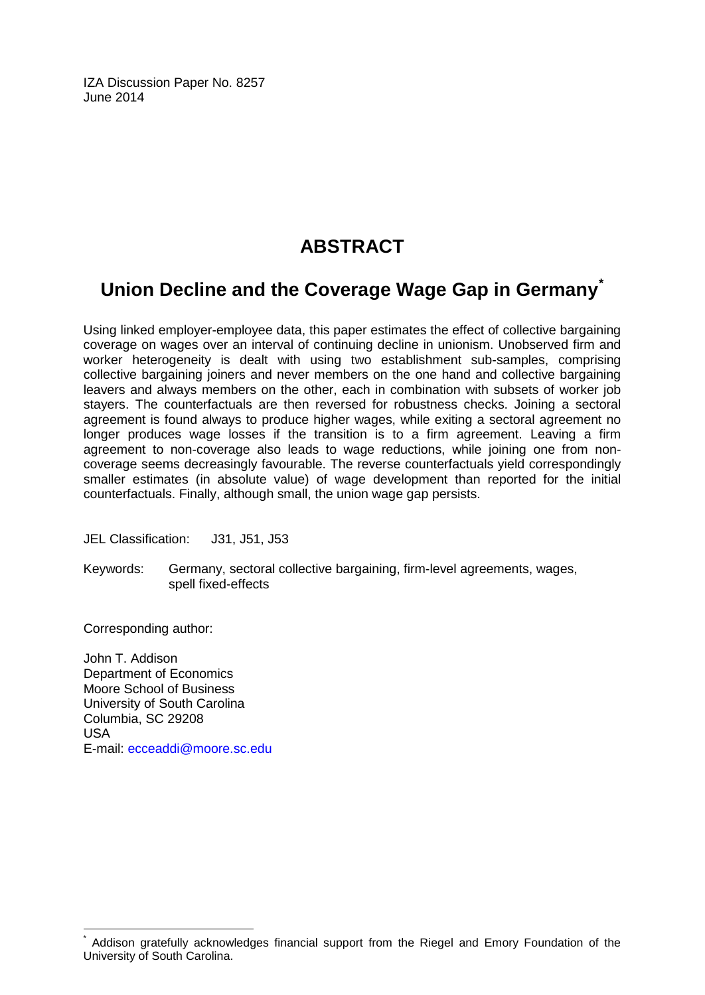IZA Discussion Paper No. 8257 June 2014

# **ABSTRACT**

# **Union Decline and the Coverage Wage Gap in Germany[\\*](#page-1-0)**

Using linked employer-employee data, this paper estimates the effect of collective bargaining coverage on wages over an interval of continuing decline in unionism. Unobserved firm and worker heterogeneity is dealt with using two establishment sub-samples, comprising collective bargaining joiners and never members on the one hand and collective bargaining leavers and always members on the other, each in combination with subsets of worker job stayers. The counterfactuals are then reversed for robustness checks. Joining a sectoral agreement is found always to produce higher wages, while exiting a sectoral agreement no longer produces wage losses if the transition is to a firm agreement. Leaving a firm agreement to non-coverage also leads to wage reductions, while joining one from noncoverage seems decreasingly favourable. The reverse counterfactuals yield correspondingly smaller estimates (in absolute value) of wage development than reported for the initial counterfactuals. Finally, although small, the union wage gap persists.

JEL Classification: J31, J51, J53

Keywords: Germany, sectoral collective bargaining, firm-level agreements, wages, spell fixed-effects

Corresponding author:

John T. Addison Department of Economics Moore School of Business University of South Carolina Columbia, SC 29208 USA E-mail: [ecceaddi@moore.sc.edu](mailto:ecceaddi@moore.sc.edu)

Addison gratefully acknowledges financial support from the Riegel and Emory Foundation of the University of South Carolina.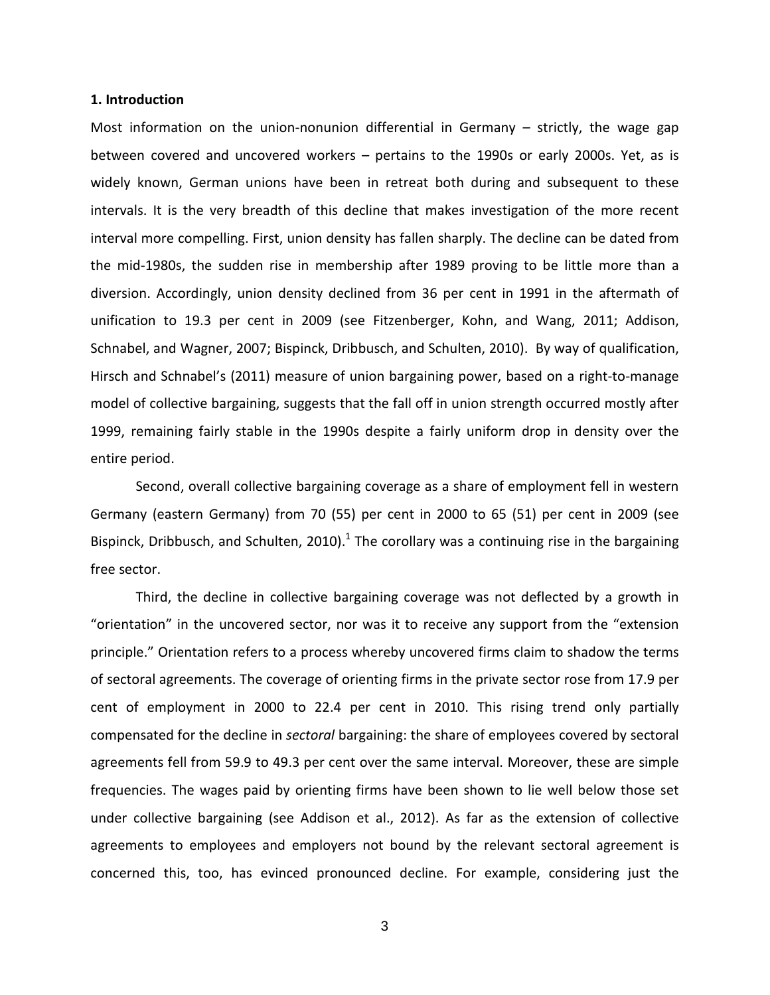#### **1. Introduction**

Most information on the union-nonunion differential in Germany – strictly, the wage gap between covered and uncovered workers – pertains to the 1990s or early 2000s. Yet, as is widely known, German unions have been in retreat both during and subsequent to these intervals. It is the very breadth of this decline that makes investigation of the more recent interval more compelling. First, union density has fallen sharply. The decline can be dated from the mid-1980s, the sudden rise in membership after 1989 proving to be little more than a diversion. Accordingly, union density declined from 36 per cent in 1991 in the aftermath of unification to 19.3 per cent in 2009 (see Fitzenberger, Kohn, and Wang, 2011; Addison, Schnabel, and Wagner, 2007; Bispinck, Dribbusch, and Schulten, 2010). By way of qualification, Hirsch and Schnabel's (2011) measure of union bargaining power, based on a right-to-manage model of collective bargaining, suggests that the fall off in union strength occurred mostly after 1999, remaining fairly stable in the 1990s despite a fairly uniform drop in density over the entire period.

Second, overall collective bargaining coverage as a share of employment fell in western Germany (eastern Germany) from 70 (55) per cent in 2000 to 65 (51) per cent in 2009 (see Bispinck, Dribbusch, and Schulten, 2010).<sup>1</sup> The corollary was a continuing rise in the bargaining free sector.

Third, the decline in collective bargaining coverage was not deflected by a growth in "orientation" in the uncovered sector, nor was it to receive any support from the "extension principle." Orientation refers to a process whereby uncovered firms claim to shadow the terms of sectoral agreements. The coverage of orienting firms in the private sector rose from 17.9 per cent of employment in 2000 to 22.4 per cent in 2010. This rising trend only partially compensated for the decline in *sectoral* bargaining: the share of employees covered by sectoral agreements fell from 59.9 to 49.3 per cent over the same interval. Moreover, these are simple frequencies. The wages paid by orienting firms have been shown to lie well below those set under collective bargaining (see Addison et al., 2012). As far as the extension of collective agreements to employees and employers not bound by the relevant sectoral agreement is concerned this, too, has evinced pronounced decline. For example, considering just the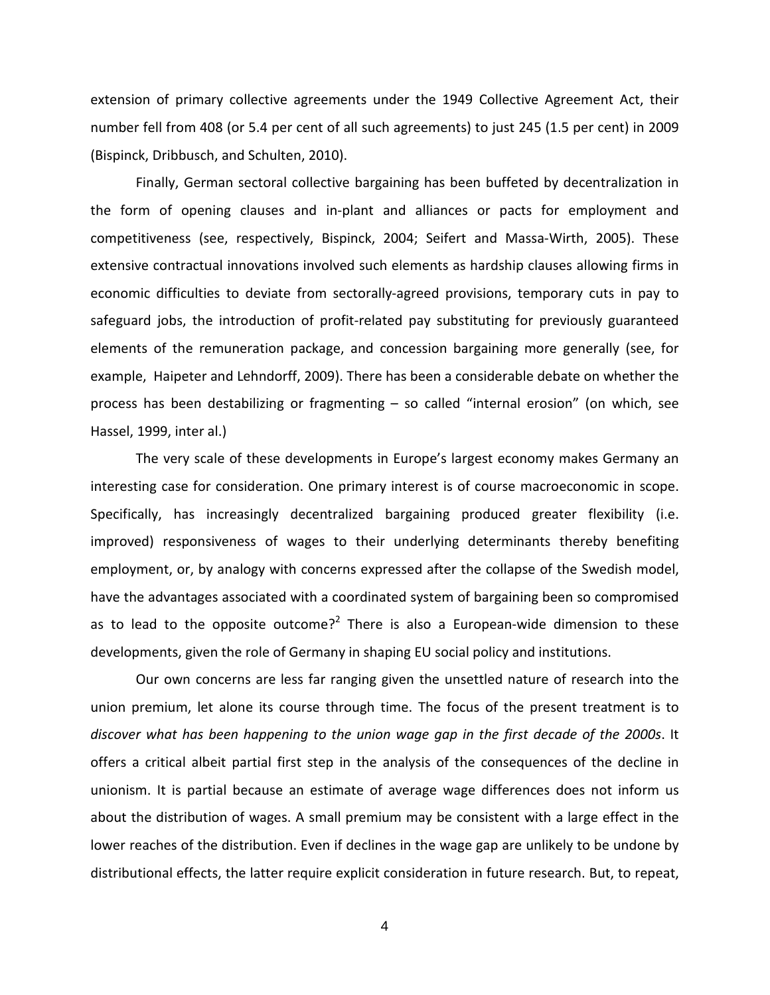extension of primary collective agreements under the 1949 Collective Agreement Act, their number fell from 408 (or 5.4 per cent of all such agreements) to just 245 (1.5 per cent) in 2009 (Bispinck, Dribbusch, and Schulten, 2010).

Finally, German sectoral collective bargaining has been buffeted by decentralization in the form of opening clauses and in-plant and alliances or pacts for employment and competitiveness (see, respectively, Bispinck, 2004; Seifert and Massa-Wirth, 2005). These extensive contractual innovations involved such elements as hardship clauses allowing firms in economic difficulties to deviate from sectorally-agreed provisions, temporary cuts in pay to safeguard jobs, the introduction of profit-related pay substituting for previously guaranteed elements of the remuneration package, and concession bargaining more generally (see, for example, Haipeter and Lehndorff, 2009). There has been a considerable debate on whether the process has been destabilizing or fragmenting – so called "internal erosion" (on which, see Hassel, 1999, inter al.)

The very scale of these developments in Europe's largest economy makes Germany an interesting case for consideration. One primary interest is of course macroeconomic in scope. Specifically, has increasingly decentralized bargaining produced greater flexibility (i.e. improved) responsiveness of wages to their underlying determinants thereby benefiting employment, or, by analogy with concerns expressed after the collapse of the Swedish model, have the advantages associated with a coordinated system of bargaining been so compromised as to lead to the opposite outcome?<sup>2</sup> There is also a European-wide dimension to these developments, given the role of Germany in shaping EU social policy and institutions.

Our own concerns are less far ranging given the unsettled nature of research into the union premium, let alone its course through time. The focus of the present treatment is to *discover what has been happening to the union wage gap in the first decade of the 2000s*. It offers a critical albeit partial first step in the analysis of the consequences of the decline in unionism. It is partial because an estimate of average wage differences does not inform us about the distribution of wages. A small premium may be consistent with a large effect in the lower reaches of the distribution. Even if declines in the wage gap are unlikely to be undone by distributional effects, the latter require explicit consideration in future research. But, to repeat,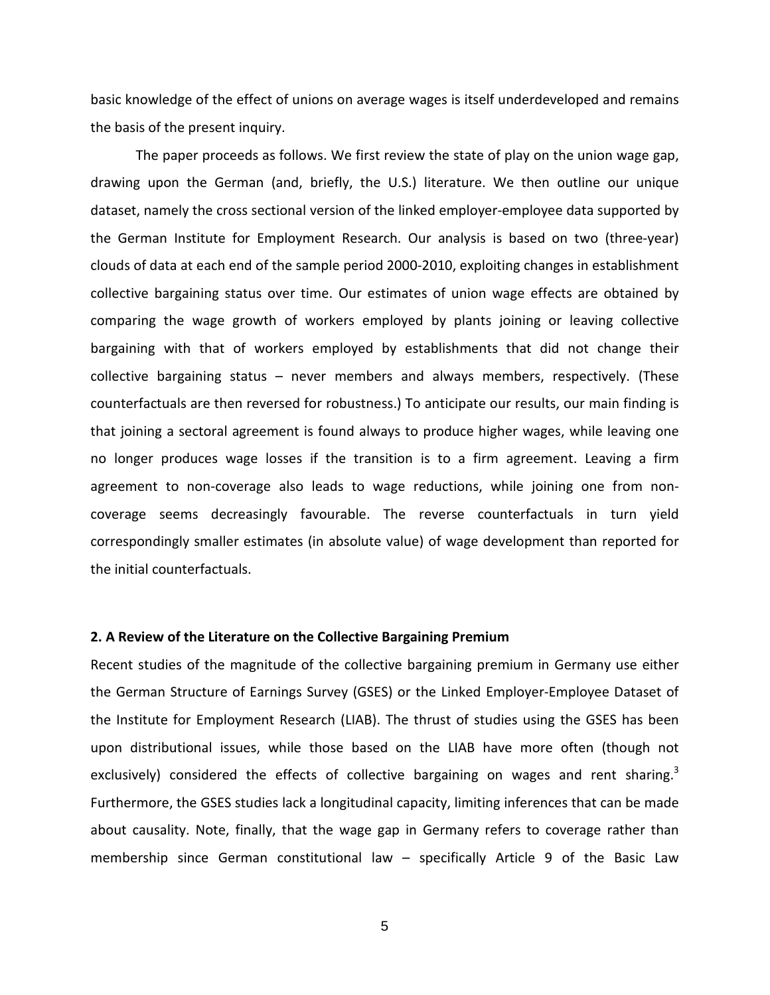basic knowledge of the effect of unions on average wages is itself underdeveloped and remains the basis of the present inquiry.

The paper proceeds as follows. We first review the state of play on the union wage gap, drawing upon the German (and, briefly, the U.S.) literature. We then outline our unique dataset, namely the cross sectional version of the linked employer-employee data supported by the German Institute for Employment Research. Our analysis is based on two (three-year) clouds of data at each end of the sample period 2000-2010, exploiting changes in establishment collective bargaining status over time. Our estimates of union wage effects are obtained by comparing the wage growth of workers employed by plants joining or leaving collective bargaining with that of workers employed by establishments that did not change their collective bargaining status – never members and always members, respectively. (These counterfactuals are then reversed for robustness.) To anticipate our results, our main finding is that joining a sectoral agreement is found always to produce higher wages, while leaving one no longer produces wage losses if the transition is to a firm agreement. Leaving a firm agreement to non-coverage also leads to wage reductions, while joining one from noncoverage seems decreasingly favourable. The reverse counterfactuals in turn yield correspondingly smaller estimates (in absolute value) of wage development than reported for the initial counterfactuals.

#### **2. A Review of the Literature on the Collective Bargaining Premium**

Recent studies of the magnitude of the collective bargaining premium in Germany use either the German Structure of Earnings Survey (GSES) or the Linked Employer-Employee Dataset of the Institute for Employment Research (LIAB). The thrust of studies using the GSES has been upon distributional issues, while those based on the LIAB have more often (though not exclusively) considered the effects of collective bargaining on wages and rent sharing.<sup>3</sup> Furthermore, the GSES studies lack a longitudinal capacity, limiting inferences that can be made about causality. Note, finally, that the wage gap in Germany refers to coverage rather than membership since German constitutional law – specifically Article 9 of the Basic Law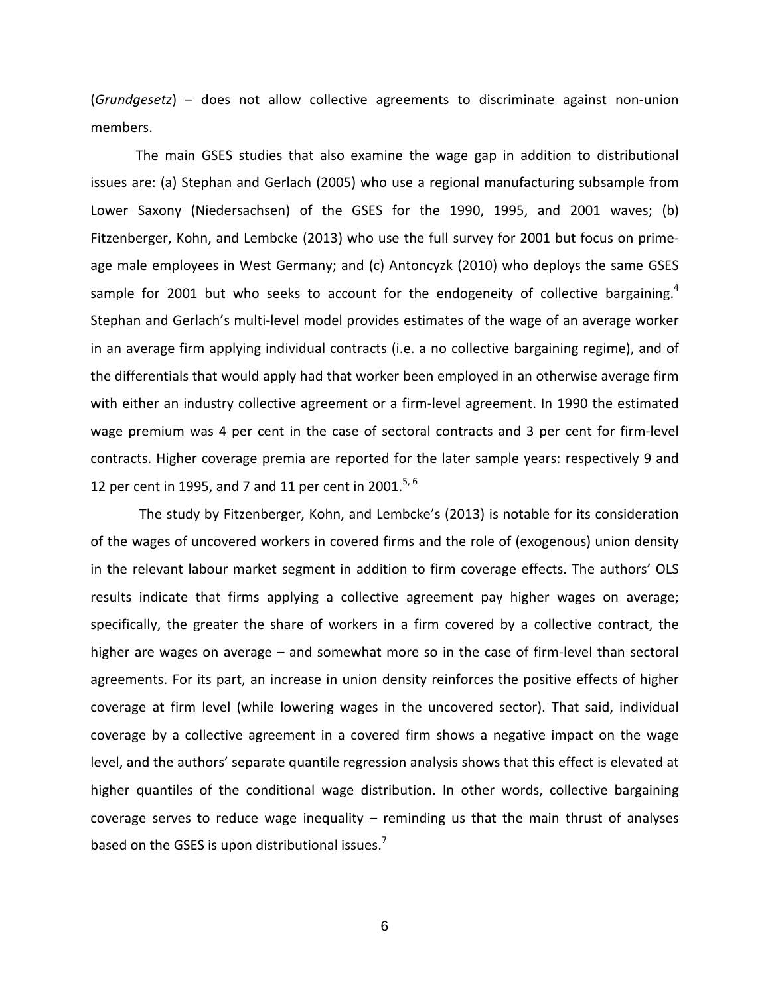(*Grundgesetz*) – does not allow collective agreements to discriminate against non-union members.

The main GSES studies that also examine the wage gap in addition to distributional issues are: (a) Stephan and Gerlach (2005) who use a regional manufacturing subsample from Lower Saxony (Niedersachsen) of the GSES for the 1990, 1995, and 2001 waves; (b) Fitzenberger, Kohn, and Lembcke (2013) who use the full survey for 2001 but focus on primeage male employees in West Germany; and (c) Antoncyzk (2010) who deploys the same GSES sample for 2001 but who seeks to account for the endogeneity of collective bargaining.<sup>4</sup> Stephan and Gerlach's multi-level model provides estimates of the wage of an average worker in an average firm applying individual contracts (i.e. a no collective bargaining regime), and of the differentials that would apply had that worker been employed in an otherwise average firm with either an industry collective agreement or a firm-level agreement. In 1990 the estimated wage premium was 4 per cent in the case of sectoral contracts and 3 per cent for firm-level contracts. Higher coverage premia are reported for the later sample years: respectively 9 and 12 per cent in 1995, and 7 and 11 per cent in 2001.<sup>5, 6</sup>

The study by Fitzenberger, Kohn, and Lembcke's (2013) is notable for its consideration of the wages of uncovered workers in covered firms and the role of (exogenous) union density in the relevant labour market segment in addition to firm coverage effects. The authors' OLS results indicate that firms applying a collective agreement pay higher wages on average; specifically, the greater the share of workers in a firm covered by a collective contract, the higher are wages on average – and somewhat more so in the case of firm-level than sectoral agreements. For its part, an increase in union density reinforces the positive effects of higher coverage at firm level (while lowering wages in the uncovered sector). That said, individual coverage by a collective agreement in a covered firm shows a negative impact on the wage level, and the authors' separate quantile regression analysis shows that this effect is elevated at higher quantiles of the conditional wage distribution. In other words, collective bargaining coverage serves to reduce wage inequality  $-$  reminding us that the main thrust of analyses based on the GSES is upon distributional issues. $<sup>7</sup>$ </sup>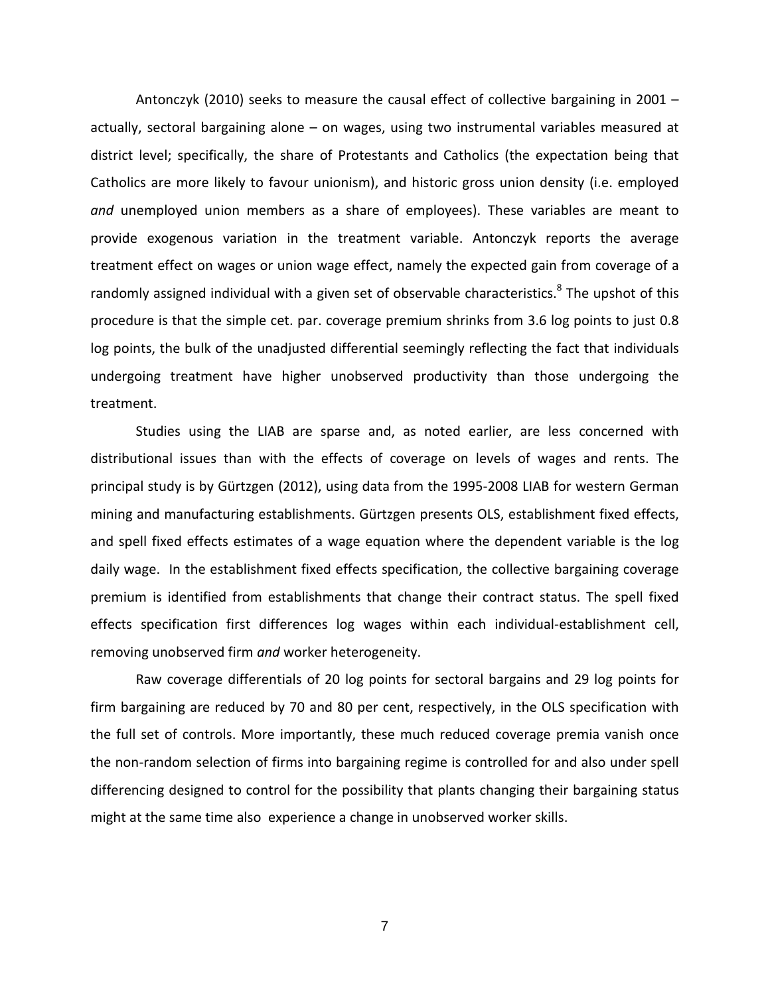Antonczyk (2010) seeks to measure the causal effect of collective bargaining in 2001 – actually, sectoral bargaining alone – on wages, using two instrumental variables measured at district level; specifically, the share of Protestants and Catholics (the expectation being that Catholics are more likely to favour unionism), and historic gross union density (i.e. employed *and* unemployed union members as a share of employees). These variables are meant to provide exogenous variation in the treatment variable. Antonczyk reports the average treatment effect on wages or union wage effect, namely the expected gain from coverage of a randomly assigned individual with a given set of observable characteristics.<sup>8</sup> The upshot of this procedure is that the simple cet. par. coverage premium shrinks from 3.6 log points to just 0.8 log points, the bulk of the unadjusted differential seemingly reflecting the fact that individuals undergoing treatment have higher unobserved productivity than those undergoing the treatment.

Studies using the LIAB are sparse and, as noted earlier, are less concerned with distributional issues than with the effects of coverage on levels of wages and rents. The principal study is by Gürtzgen (2012), using data from the 1995-2008 LIAB for western German mining and manufacturing establishments. Gürtzgen presents OLS, establishment fixed effects, and spell fixed effects estimates of a wage equation where the dependent variable is the log daily wage. In the establishment fixed effects specification, the collective bargaining coverage premium is identified from establishments that change their contract status. The spell fixed effects specification first differences log wages within each individual-establishment cell, removing unobserved firm *and* worker heterogeneity.

Raw coverage differentials of 20 log points for sectoral bargains and 29 log points for firm bargaining are reduced by 70 and 80 per cent, respectively, in the OLS specification with the full set of controls. More importantly, these much reduced coverage premia vanish once the non-random selection of firms into bargaining regime is controlled for and also under spell differencing designed to control for the possibility that plants changing their bargaining status might at the same time also experience a change in unobserved worker skills.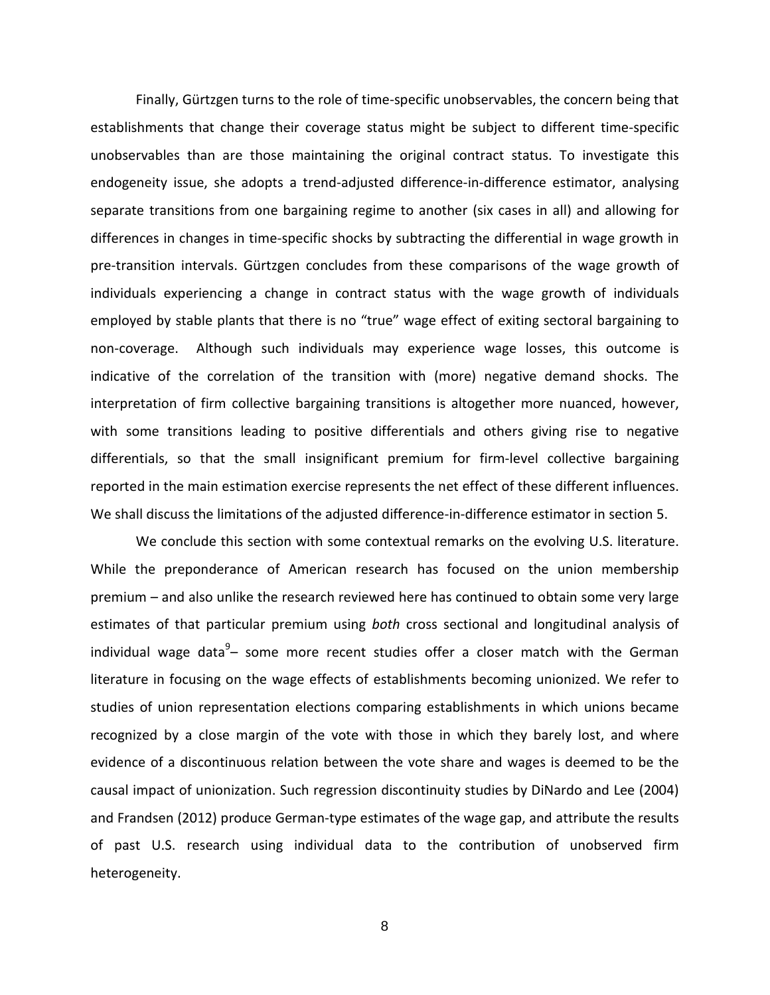Finally, Gürtzgen turns to the role of time-specific unobservables, the concern being that establishments that change their coverage status might be subject to different time-specific unobservables than are those maintaining the original contract status. To investigate this endogeneity issue, she adopts a trend-adjusted difference-in-difference estimator, analysing separate transitions from one bargaining regime to another (six cases in all) and allowing for differences in changes in time-specific shocks by subtracting the differential in wage growth in pre-transition intervals. Gürtzgen concludes from these comparisons of the wage growth of individuals experiencing a change in contract status with the wage growth of individuals employed by stable plants that there is no "true" wage effect of exiting sectoral bargaining to non-coverage. Although such individuals may experience wage losses, this outcome is indicative of the correlation of the transition with (more) negative demand shocks. The interpretation of firm collective bargaining transitions is altogether more nuanced, however, with some transitions leading to positive differentials and others giving rise to negative differentials, so that the small insignificant premium for firm-level collective bargaining reported in the main estimation exercise represents the net effect of these different influences. We shall discuss the limitations of the adjusted difference-in-difference estimator in section 5.

We conclude this section with some contextual remarks on the evolving U.S. literature. While the preponderance of American research has focused on the union membership premium – and also unlike the research reviewed here has continued to obtain some very large estimates of that particular premium using *both* cross sectional and longitudinal analysis of individual wage data<sup>9</sup>- some more recent studies offer a closer match with the German literature in focusing on the wage effects of establishments becoming unionized. We refer to studies of union representation elections comparing establishments in which unions became recognized by a close margin of the vote with those in which they barely lost, and where evidence of a discontinuous relation between the vote share and wages is deemed to be the causal impact of unionization. Such regression discontinuity studies by DiNardo and Lee (2004) and Frandsen (2012) produce German-type estimates of the wage gap, and attribute the results of past U.S. research using individual data to the contribution of unobserved firm heterogeneity.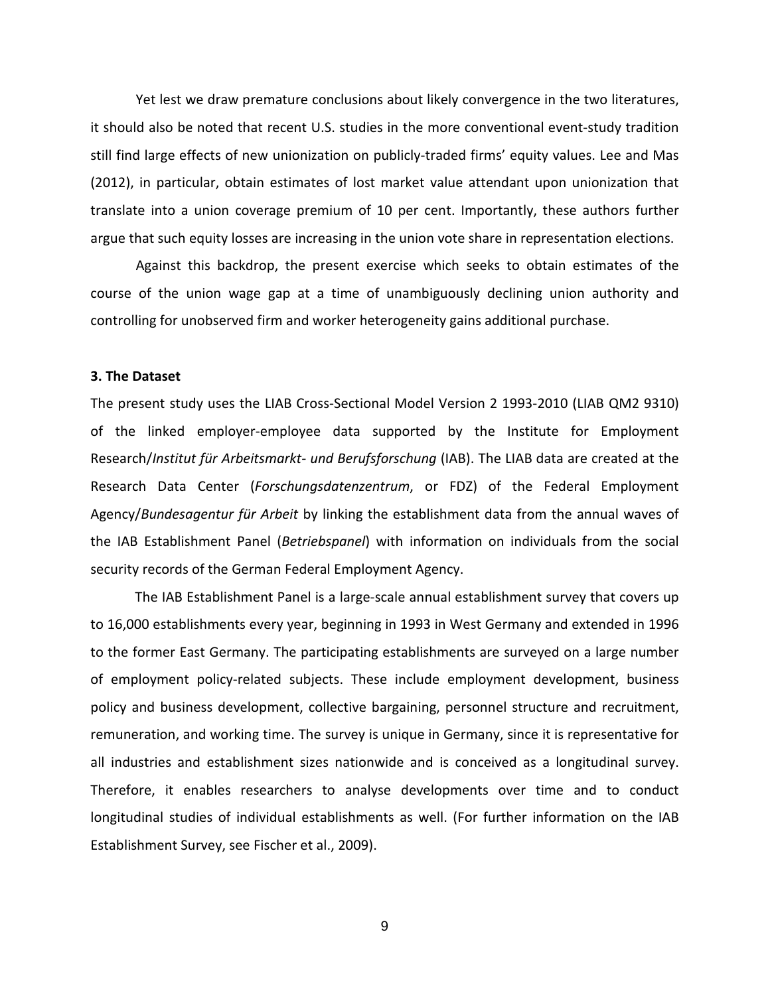Yet lest we draw premature conclusions about likely convergence in the two literatures, it should also be noted that recent U.S. studies in the more conventional event-study tradition still find large effects of new unionization on publicly-traded firms' equity values. Lee and Mas (2012), in particular, obtain estimates of lost market value attendant upon unionization that translate into a union coverage premium of 10 per cent. Importantly, these authors further argue that such equity losses are increasing in the union vote share in representation elections.

Against this backdrop, the present exercise which seeks to obtain estimates of the course of the union wage gap at a time of unambiguously declining union authority and controlling for unobserved firm and worker heterogeneity gains additional purchase.

#### **3. The Dataset**

The present study uses the LIAB Cross-Sectional Model Version 2 1993-2010 (LIAB QM2 9310) of the linked employer-employee data supported by the Institute for Employment Research/*Institut für Arbeitsmarkt- und Berufsforschung* (IAB). The LIAB data are created at the Research Data Center (*Forschungsdatenzentrum*, or FDZ) of the Federal Employment Agency/*Bundesagentur für Arbeit* by linking the establishment data from the annual waves of the IAB Establishment Panel (*Betriebspanel*) with information on individuals from the social security records of the German Federal Employment Agency.

The IAB Establishment Panel is a large-scale annual establishment survey that covers up to 16,000 establishments every year, beginning in 1993 in West Germany and extended in 1996 to the former East Germany. The participating establishments are surveyed on a large number of employment policy-related subjects. These include employment development, business policy and business development, collective bargaining, personnel structure and recruitment, remuneration, and working time. The survey is unique in Germany, since it is representative for all industries and establishment sizes nationwide and is conceived as a longitudinal survey. Therefore, it enables researchers to analyse developments over time and to conduct longitudinal studies of individual establishments as well. (For further information on the IAB Establishment Survey, see Fischer et al., 2009).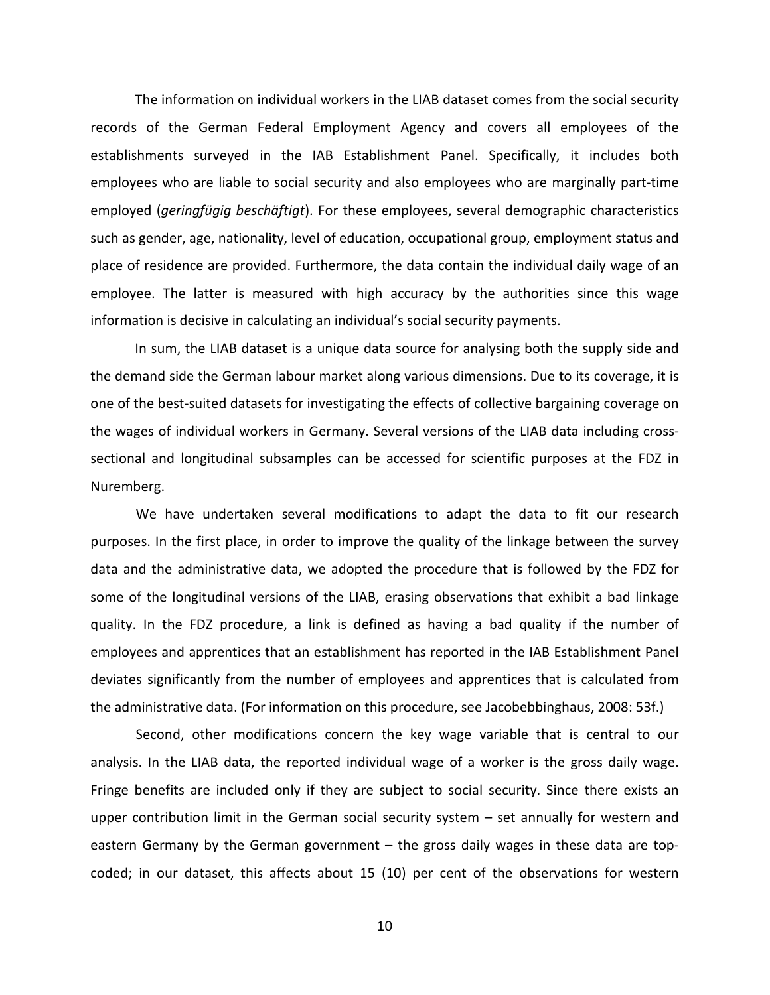The information on individual workers in the LIAB dataset comes from the social security records of the German Federal Employment Agency and covers all employees of the establishments surveyed in the IAB Establishment Panel. Specifically, it includes both employees who are liable to social security and also employees who are marginally part-time employed (*geringfügig beschäftigt*). For these employees, several demographic characteristics such as gender, age, nationality, level of education, occupational group, employment status and place of residence are provided. Furthermore, the data contain the individual daily wage of an employee. The latter is measured with high accuracy by the authorities since this wage information is decisive in calculating an individual's social security payments.

In sum, the LIAB dataset is a unique data source for analysing both the supply side and the demand side the German labour market along various dimensions. Due to its coverage, it is one of the best-suited datasets for investigating the effects of collective bargaining coverage on the wages of individual workers in Germany. Several versions of the LIAB data including crosssectional and longitudinal subsamples can be accessed for scientific purposes at the FDZ in Nuremberg.

We have undertaken several modifications to adapt the data to fit our research purposes. In the first place, in order to improve the quality of the linkage between the survey data and the administrative data, we adopted the procedure that is followed by the FDZ for some of the longitudinal versions of the LIAB, erasing observations that exhibit a bad linkage quality. In the FDZ procedure, a link is defined as having a bad quality if the number of employees and apprentices that an establishment has reported in the IAB Establishment Panel deviates significantly from the number of employees and apprentices that is calculated from the administrative data. (For information on this procedure, see Jacobebbinghaus, 2008: 53f.)

Second, other modifications concern the key wage variable that is central to our analysis. In the LIAB data, the reported individual wage of a worker is the gross daily wage. Fringe benefits are included only if they are subject to social security. Since there exists an upper contribution limit in the German social security system – set annually for western and eastern Germany by the German government – the gross daily wages in these data are topcoded; in our dataset, this affects about 15 (10) per cent of the observations for western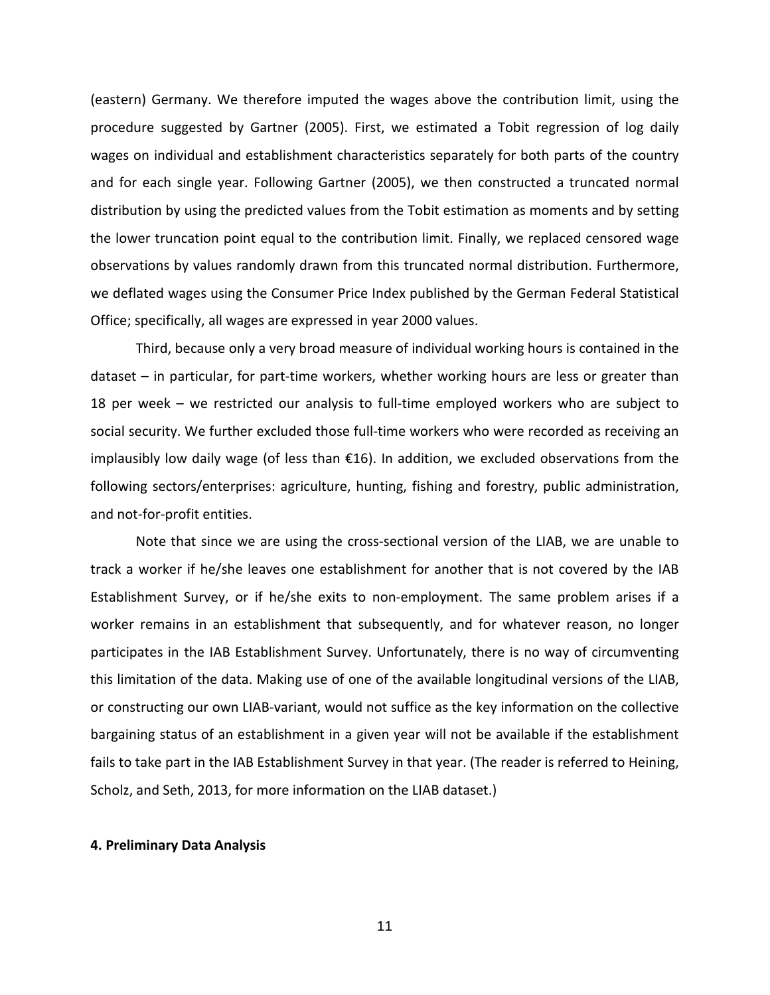(eastern) Germany. We therefore imputed the wages above the contribution limit, using the procedure suggested by Gartner (2005). First, we estimated a Tobit regression of log daily wages on individual and establishment characteristics separately for both parts of the country and for each single year. Following Gartner (2005), we then constructed a truncated normal distribution by using the predicted values from the Tobit estimation as moments and by setting the lower truncation point equal to the contribution limit. Finally, we replaced censored wage observations by values randomly drawn from this truncated normal distribution. Furthermore, we deflated wages using the Consumer Price Index published by the German Federal Statistical Office; specifically, all wages are expressed in year 2000 values.

Third, because only a very broad measure of individual working hours is contained in the dataset – in particular, for part-time workers, whether working hours are less or greater than 18 per week – we restricted our analysis to full-time employed workers who are subject to social security. We further excluded those full-time workers who were recorded as receiving an implausibly low daily wage (of less than €16). In addition, we excluded observations from the following sectors/enterprises: agriculture, hunting, fishing and forestry, public administration, and not-for-profit entities.

Note that since we are using the cross-sectional version of the LIAB, we are unable to track a worker if he/she leaves one establishment for another that is not covered by the IAB Establishment Survey, or if he/she exits to non-employment. The same problem arises if a worker remains in an establishment that subsequently, and for whatever reason, no longer participates in the IAB Establishment Survey. Unfortunately, there is no way of circumventing this limitation of the data. Making use of one of the available longitudinal versions of the LIAB, or constructing our own LIAB-variant, would not suffice as the key information on the collective bargaining status of an establishment in a given year will not be available if the establishment fails to take part in the IAB Establishment Survey in that year. (The reader is referred to Heining, Scholz, and Seth, 2013, for more information on the LIAB dataset.)

#### **4. Preliminary Data Analysis**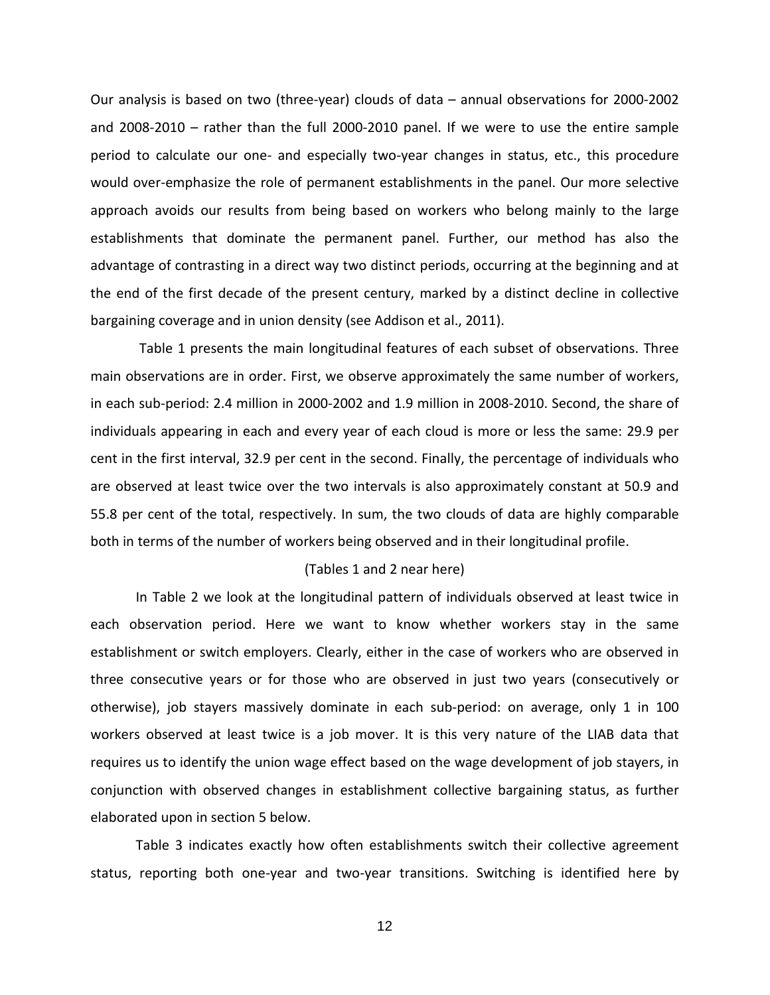Our analysis is based on two (three-year) clouds of data – annual observations for 2000-2002 and 2008-2010 – rather than the full 2000-2010 panel. If we were to use the entire sample period to calculate our one- and especially two-year changes in status, etc., this procedure would over-emphasize the role of permanent establishments in the panel. Our more selective approach avoids our results from being based on workers who belong mainly to the large establishments that dominate the permanent panel. Further, our method has also the advantage of contrasting in a direct way two distinct periods, occurring at the beginning and at the end of the first decade of the present century, marked by a distinct decline in collective bargaining coverage and in union density (see Addison et al., 2011).

Table 1 presents the main longitudinal features of each subset of observations. Three main observations are in order. First, we observe approximately the same number of workers, in each sub-period: 2.4 million in 2000-2002 and 1.9 million in 2008-2010. Second, the share of individuals appearing in each and every year of each cloud is more or less the same: 29.9 per cent in the first interval, 32.9 per cent in the second. Finally, the percentage of individuals who are observed at least twice over the two intervals is also approximately constant at 50.9 and 55.8 per cent of the total, respectively. In sum, the two clouds of data are highly comparable both in terms of the number of workers being observed and in their longitudinal profile.

#### (Tables 1 and 2 near here)

In Table 2 we look at the longitudinal pattern of individuals observed at least twice in each observation period. Here we want to know whether workers stay in the same establishment or switch employers. Clearly, either in the case of workers who are observed in three consecutive years or for those who are observed in just two years (consecutively or otherwise), job stayers massively dominate in each sub-period: on average, only 1 in 100 workers observed at least twice is a job mover. It is this very nature of the LIAB data that requires us to identify the union wage effect based on the wage development of job stayers, in conjunction with observed changes in establishment collective bargaining status, as further elaborated upon in section 5 below.

Table 3 indicates exactly how often establishments switch their collective agreement status, reporting both one-year and two-year transitions. Switching is identified here by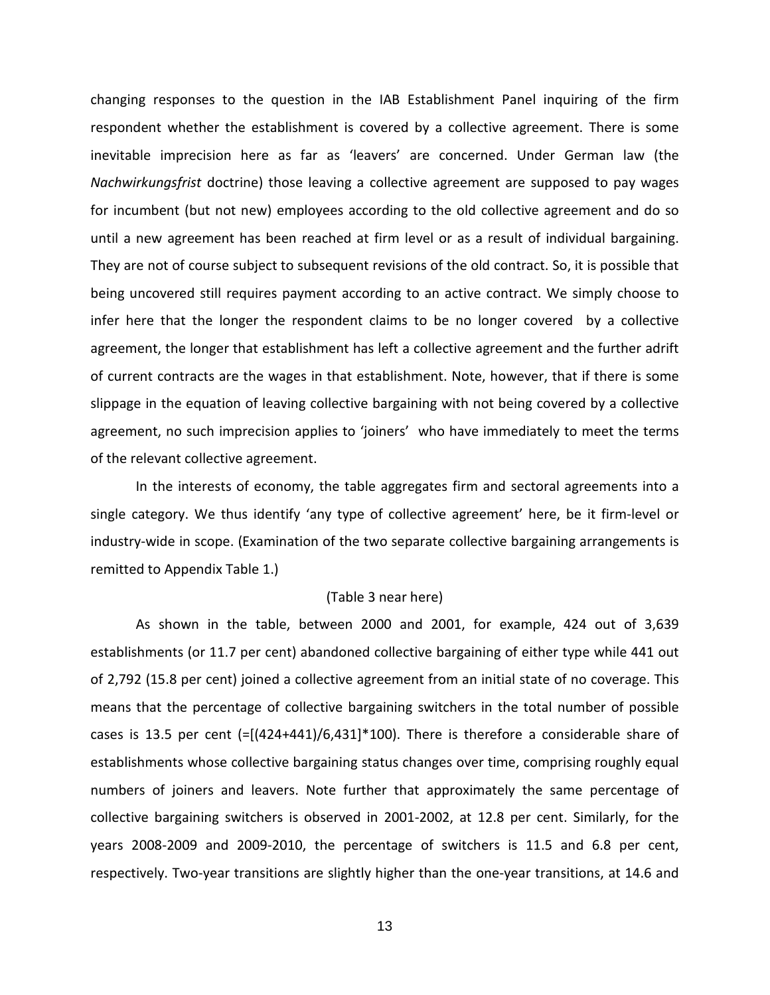changing responses to the question in the IAB Establishment Panel inquiring of the firm respondent whether the establishment is covered by a collective agreement. There is some inevitable imprecision here as far as 'leavers' are concerned. Under German law (the *Nachwirkungsfrist* doctrine) those leaving a collective agreement are supposed to pay wages for incumbent (but not new) employees according to the old collective agreement and do so until a new agreement has been reached at firm level or as a result of individual bargaining. They are not of course subject to subsequent revisions of the old contract. So, it is possible that being uncovered still requires payment according to an active contract. We simply choose to infer here that the longer the respondent claims to be no longer covered by a collective agreement, the longer that establishment has left a collective agreement and the further adrift of current contracts are the wages in that establishment. Note, however, that if there is some slippage in the equation of leaving collective bargaining with not being covered by a collective agreement, no such imprecision applies to 'joiners' who have immediately to meet the terms of the relevant collective agreement.

In the interests of economy, the table aggregates firm and sectoral agreements into a single category. We thus identify 'any type of collective agreement' here, be it firm-level or industry-wide in scope. (Examination of the two separate collective bargaining arrangements is remitted to Appendix Table 1.)

#### (Table 3 near here)

As shown in the table, between 2000 and 2001, for example, 424 out of 3,639 establishments (or 11.7 per cent) abandoned collective bargaining of either type while 441 out of 2,792 (15.8 per cent) joined a collective agreement from an initial state of no coverage. This means that the percentage of collective bargaining switchers in the total number of possible cases is 13.5 per cent  $[=(424+441)/6,431]*100$ ). There is therefore a considerable share of establishments whose collective bargaining status changes over time, comprising roughly equal numbers of joiners and leavers. Note further that approximately the same percentage of collective bargaining switchers is observed in 2001-2002, at 12.8 per cent. Similarly, for the years 2008-2009 and 2009-2010, the percentage of switchers is 11.5 and 6.8 per cent, respectively. Two-year transitions are slightly higher than the one-year transitions, at 14.6 and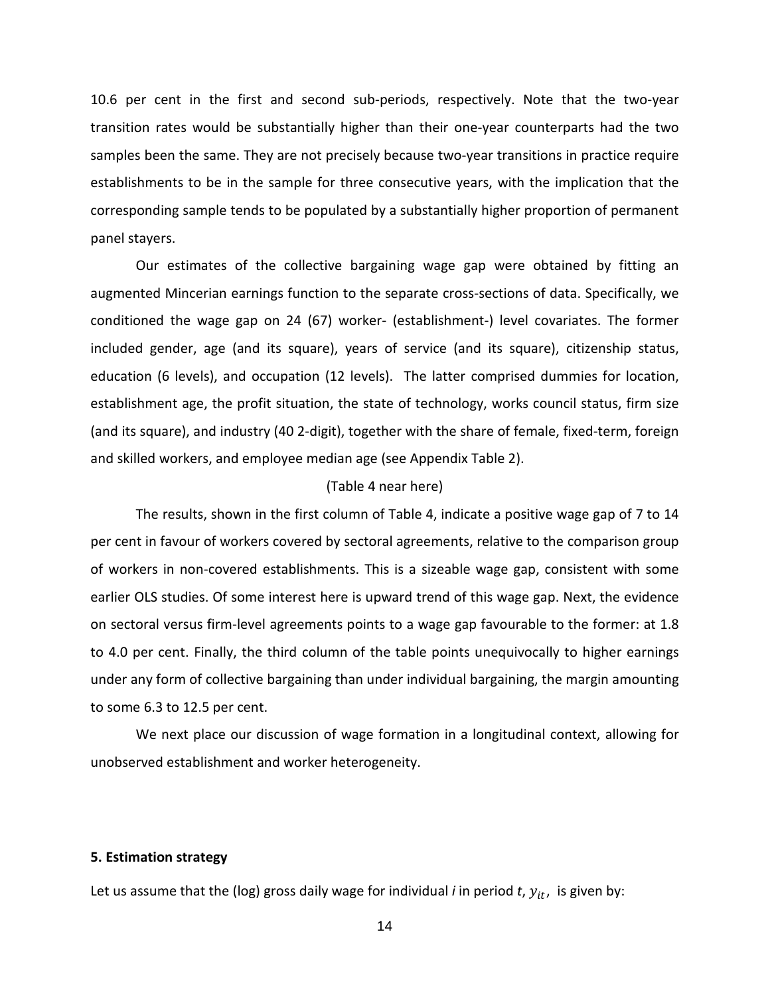10.6 per cent in the first and second sub-periods, respectively. Note that the two-year transition rates would be substantially higher than their one-year counterparts had the two samples been the same. They are not precisely because two-year transitions in practice require establishments to be in the sample for three consecutive years, with the implication that the corresponding sample tends to be populated by a substantially higher proportion of permanent panel stayers.

Our estimates of the collective bargaining wage gap were obtained by fitting an augmented Mincerian earnings function to the separate cross-sections of data. Specifically, we conditioned the wage gap on 24 (67) worker- (establishment-) level covariates. The former included gender, age (and its square), years of service (and its square), citizenship status, education (6 levels), and occupation (12 levels). The latter comprised dummies for location, establishment age, the profit situation, the state of technology, works council status, firm size (and its square), and industry (40 2-digit), together with the share of female, fixed-term, foreign and skilled workers, and employee median age (see Appendix Table 2).

#### (Table 4 near here)

The results, shown in the first column of Table 4, indicate a positive wage gap of 7 to 14 per cent in favour of workers covered by sectoral agreements, relative to the comparison group of workers in non-covered establishments. This is a sizeable wage gap, consistent with some earlier OLS studies. Of some interest here is upward trend of this wage gap. Next, the evidence on sectoral versus firm-level agreements points to a wage gap favourable to the former: at 1.8 to 4.0 per cent. Finally, the third column of the table points unequivocally to higher earnings under any form of collective bargaining than under individual bargaining, the margin amounting to some 6.3 to 12.5 per cent.

We next place our discussion of wage formation in a longitudinal context, allowing for unobserved establishment and worker heterogeneity.

#### **5. Estimation strategy**

Let us assume that the (log) gross daily wage for individual *i* in period  $t$ ,  $y_{it}$ , is given by: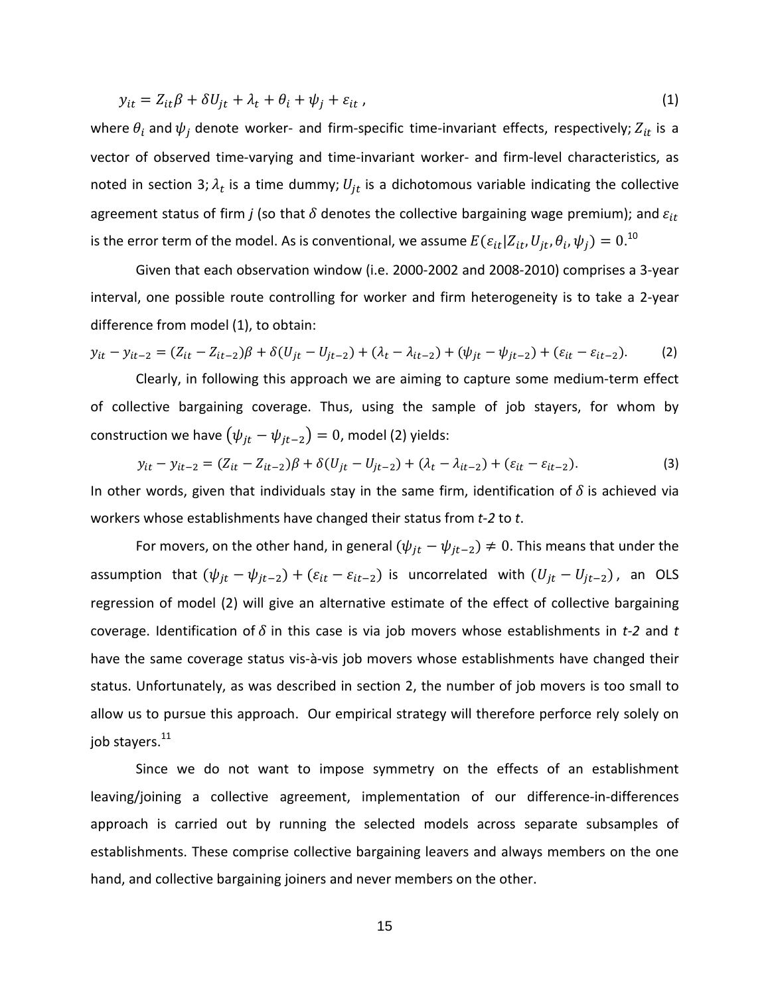$$
y_{it} = Z_{it}\beta + \delta U_{jt} + \lambda_t + \theta_i + \psi_j + \varepsilon_{it} \tag{1}
$$

where  $\theta_i$  and  $\psi_j$  denote worker- and firm-specific time-invariant effects, respectively;  $Z_{it}$  is a vector of observed time-varying and time-invariant worker- and firm-level characteristics, as noted in section 3;  $\lambda_t$  is a time dummy;  $U_{it}$  is a dichotomous variable indicating the collective agreement status of firm *j* (so that  $\delta$  denotes the collective bargaining wage premium); and  $\varepsilon_{it}$ is the error term of the model. As is conventional, we assume  $E(\varepsilon_{it}|Z_{it},U_{jt},\theta_i,\psi_j)=0.^{10}$ 

Given that each observation window (i.e. 2000-2002 and 2008-2010) comprises a 3-year interval, one possible route controlling for worker and firm heterogeneity is to take a 2-year difference from model (1), to obtain:

$$
y_{it} - y_{it-2} = (Z_{it} - Z_{it-2})\beta + \delta(U_{jt} - U_{jt-2}) + (\lambda_t - \lambda_{it-2}) + (\psi_{jt} - \psi_{jt-2}) + (\varepsilon_{it} - \varepsilon_{it-2}).
$$
 (2)

Clearly, in following this approach we are aiming to capture some medium-term effect of collective bargaining coverage. Thus, using the sample of job stayers, for whom by construction we have  $(\psi_{it} - \psi_{it-2}) = 0$ , model (2) yields:

$$
y_{it} - y_{it-2} = (Z_{it} - Z_{it-2})\beta + \delta(U_{jt} - U_{jt-2}) + (\lambda_t - \lambda_{it-2}) + (\varepsilon_{it} - \varepsilon_{it-2}).
$$
\n(3)

In other words, given that individuals stay in the same firm, identification of  $\delta$  is achieved via workers whose establishments have changed their status from *t-2* to *t*.

For movers, on the other hand, in general  $(\psi_{it} - \psi_{it-2}) \neq 0$ . This means that under the assumption that  $(\psi_{jt} - \psi_{jt-2}) + (\varepsilon_{it} - \varepsilon_{it-2})$  is uncorrelated with  $(U_{jt} - U_{jt-2})$ , an OLS regression of model (2) will give an alternative estimate of the effect of collective bargaining coverage. Identification of  $\delta$  in this case is via job movers whose establishments in *t-2* and *t* have the same coverage status vis-à-vis job movers whose establishments have changed their status. Unfortunately, as was described in section 2, the number of job movers is too small to allow us to pursue this approach. Our empirical strategy will therefore perforce rely solely on job stayers.<sup>11</sup>

Since we do not want to impose symmetry on the effects of an establishment leaving/joining a collective agreement, implementation of our difference-in-differences approach is carried out by running the selected models across separate subsamples of establishments. These comprise collective bargaining leavers and always members on the one hand, and collective bargaining joiners and never members on the other.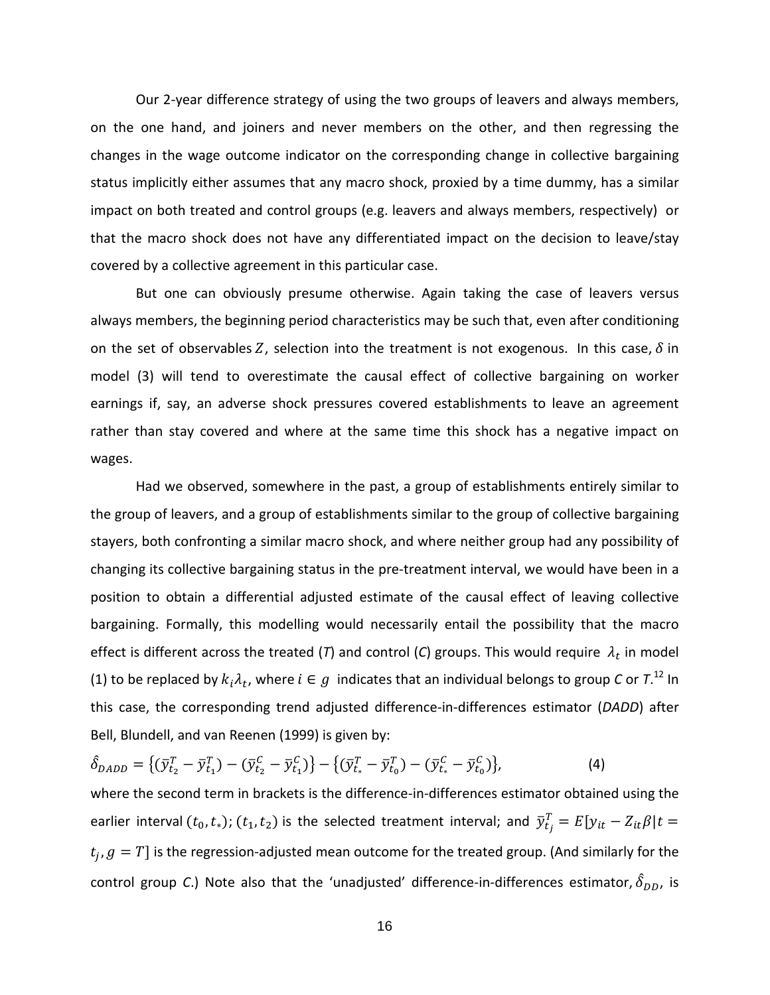Our 2-year difference strategy of using the two groups of leavers and always members, on the one hand, and joiners and never members on the other, and then regressing the changes in the wage outcome indicator on the corresponding change in collective bargaining status implicitly either assumes that any macro shock, proxied by a time dummy, has a similar impact on both treated and control groups (e.g. leavers and always members, respectively) or that the macro shock does not have any differentiated impact on the decision to leave/stay covered by a collective agreement in this particular case.

But one can obviously presume otherwise. Again taking the case of leavers versus always members, the beginning period characteristics may be such that, even after conditioning on the set of observables Z, selection into the treatment is not exogenous. In this case,  $\delta$  in model (3) will tend to overestimate the causal effect of collective bargaining on worker earnings if, say, an adverse shock pressures covered establishments to leave an agreement rather than stay covered and where at the same time this shock has a negative impact on wages.

Had we observed, somewhere in the past, a group of establishments entirely similar to the group of leavers, and a group of establishments similar to the group of collective bargaining stayers, both confronting a similar macro shock, and where neither group had any possibility of changing its collective bargaining status in the pre-treatment interval, we would have been in a position to obtain a differential adjusted estimate of the causal effect of leaving collective bargaining. Formally, this modelling would necessarily entail the possibility that the macro effect is different across the treated (*T*) and control (*C*) groups. This would require  $\lambda_t$  in model (1) to be replaced by  $k_i\lambda_t$ , where  $i \in g$  indicates that an individual belongs to group *C* or  $T^{12}$  In this case, the corresponding trend adjusted difference-in-differences estimator (*DADD*) after Bell, Blundell, and van Reenen (1999) is given by:

$$
\hat{\delta}_{DADD} = \{ (\bar{y}_{t_2}^T - \bar{y}_{t_1}^T) - (\bar{y}_{t_2}^C - \bar{y}_{t_1}^C) \} - \{ (\bar{y}_{t_*}^T - \bar{y}_{t_0}^T) - (\bar{y}_{t_*}^C - \bar{y}_{t_0}^C) \},
$$
\n(4)

where the second term in brackets is the difference-in-differences estimator obtained using the earlier interval  $(t_0,t_*);(t_1,t_2)$  is the selected treatment interval; and  $\bar{y}^T_{t_j}=E[y_{it}-Z_{it}\beta]t=$  $t_i$ ,  $g = T$  is the regression-adjusted mean outcome for the treated group. (And similarly for the control group C.) Note also that the 'unadjusted' difference-in-differences estimator,  $\delta_{DD}$ , is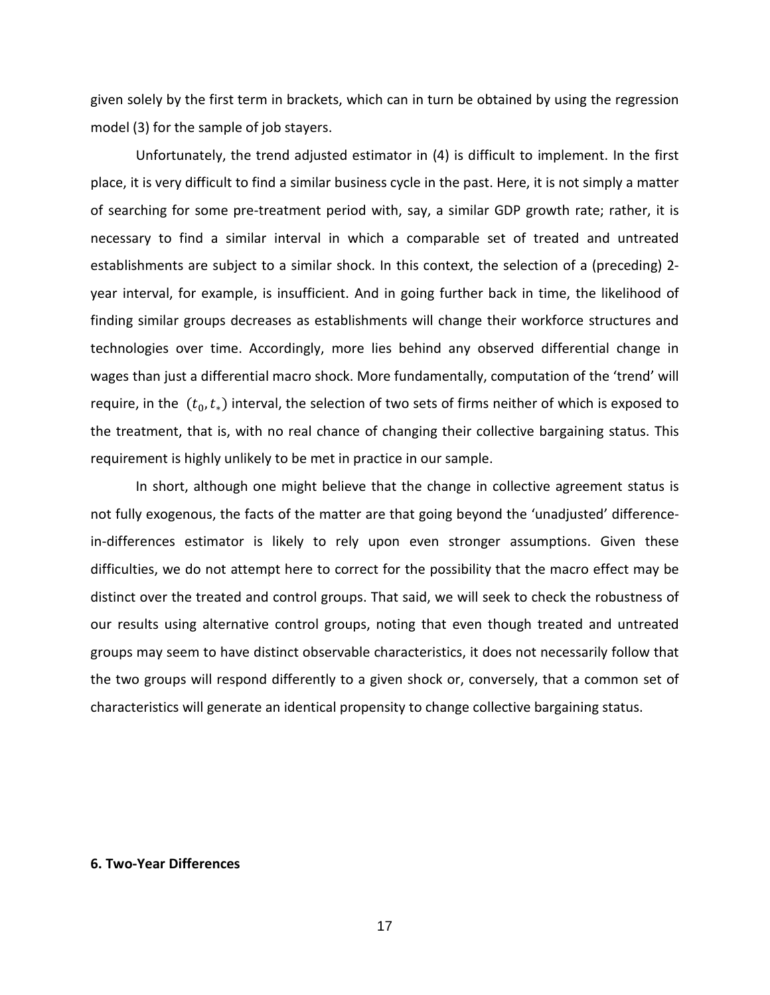given solely by the first term in brackets, which can in turn be obtained by using the regression model (3) for the sample of job stayers.

Unfortunately, the trend adjusted estimator in (4) is difficult to implement. In the first place, it is very difficult to find a similar business cycle in the past. Here, it is not simply a matter of searching for some pre-treatment period with, say, a similar GDP growth rate; rather, it is necessary to find a similar interval in which a comparable set of treated and untreated establishments are subject to a similar shock. In this context, the selection of a (preceding) 2 year interval, for example, is insufficient. And in going further back in time, the likelihood of finding similar groups decreases as establishments will change their workforce structures and technologies over time. Accordingly, more lies behind any observed differential change in wages than just a differential macro shock. More fundamentally, computation of the 'trend' will require, in the  $(t_0, t_*)$  interval, the selection of two sets of firms neither of which is exposed to the treatment, that is, with no real chance of changing their collective bargaining status. This requirement is highly unlikely to be met in practice in our sample.

In short, although one might believe that the change in collective agreement status is not fully exogenous, the facts of the matter are that going beyond the 'unadjusted' differencein-differences estimator is likely to rely upon even stronger assumptions. Given these difficulties, we do not attempt here to correct for the possibility that the macro effect may be distinct over the treated and control groups. That said, we will seek to check the robustness of our results using alternative control groups, noting that even though treated and untreated groups may seem to have distinct observable characteristics, it does not necessarily follow that the two groups will respond differently to a given shock or, conversely, that a common set of characteristics will generate an identical propensity to change collective bargaining status.

#### **6. Two-Year Differences**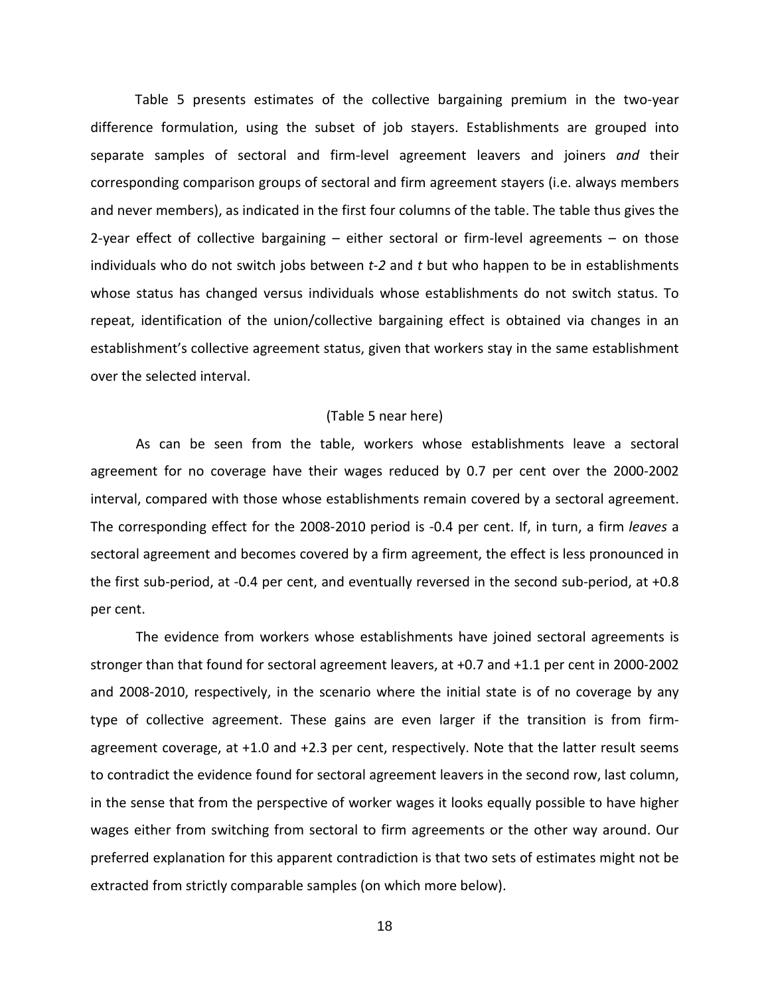Table 5 presents estimates of the collective bargaining premium in the two-year difference formulation, using the subset of job stayers. Establishments are grouped into separate samples of sectoral and firm-level agreement leavers and joiners *and* their corresponding comparison groups of sectoral and firm agreement stayers (i.e. always members and never members), as indicated in the first four columns of the table. The table thus gives the 2-year effect of collective bargaining – either sectoral or firm-level agreements – on those individuals who do not switch jobs between *t-2* and *t* but who happen to be in establishments whose status has changed versus individuals whose establishments do not switch status. To repeat, identification of the union/collective bargaining effect is obtained via changes in an establishment's collective agreement status, given that workers stay in the same establishment over the selected interval.

#### (Table 5 near here)

As can be seen from the table, workers whose establishments leave a sectoral agreement for no coverage have their wages reduced by 0.7 per cent over the 2000-2002 interval, compared with those whose establishments remain covered by a sectoral agreement. The corresponding effect for the 2008-2010 period is -0.4 per cent. If, in turn, a firm *leaves* a sectoral agreement and becomes covered by a firm agreement, the effect is less pronounced in the first sub-period, at -0.4 per cent, and eventually reversed in the second sub-period, at +0.8 per cent.

The evidence from workers whose establishments have joined sectoral agreements is stronger than that found for sectoral agreement leavers, at +0.7 and +1.1 per cent in 2000-2002 and 2008-2010, respectively, in the scenario where the initial state is of no coverage by any type of collective agreement. These gains are even larger if the transition is from firmagreement coverage, at +1.0 and +2.3 per cent, respectively. Note that the latter result seems to contradict the evidence found for sectoral agreement leavers in the second row, last column, in the sense that from the perspective of worker wages it looks equally possible to have higher wages either from switching from sectoral to firm agreements or the other way around. Our preferred explanation for this apparent contradiction is that two sets of estimates might not be extracted from strictly comparable samples (on which more below).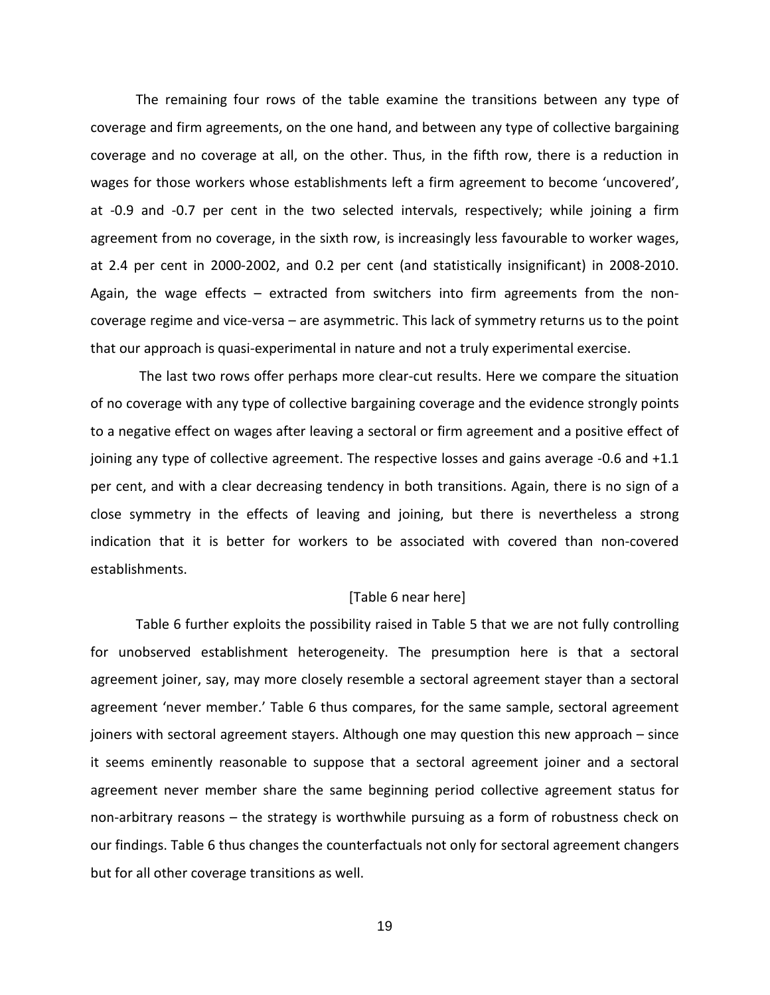The remaining four rows of the table examine the transitions between any type of coverage and firm agreements, on the one hand, and between any type of collective bargaining coverage and no coverage at all, on the other. Thus, in the fifth row, there is a reduction in wages for those workers whose establishments left a firm agreement to become 'uncovered', at -0.9 and -0.7 per cent in the two selected intervals, respectively; while joining a firm agreement from no coverage, in the sixth row, is increasingly less favourable to worker wages, at 2.4 per cent in 2000-2002, and 0.2 per cent (and statistically insignificant) in 2008-2010. Again, the wage effects – extracted from switchers into firm agreements from the noncoverage regime and vice-versa – are asymmetric. This lack of symmetry returns us to the point that our approach is quasi-experimental in nature and not a truly experimental exercise.

The last two rows offer perhaps more clear-cut results. Here we compare the situation of no coverage with any type of collective bargaining coverage and the evidence strongly points to a negative effect on wages after leaving a sectoral or firm agreement and a positive effect of joining any type of collective agreement. The respective losses and gains average -0.6 and +1.1 per cent, and with a clear decreasing tendency in both transitions. Again, there is no sign of a close symmetry in the effects of leaving and joining, but there is nevertheless a strong indication that it is better for workers to be associated with covered than non-covered establishments.

#### [Table 6 near here]

Table 6 further exploits the possibility raised in Table 5 that we are not fully controlling for unobserved establishment heterogeneity. The presumption here is that a sectoral agreement joiner, say, may more closely resemble a sectoral agreement stayer than a sectoral agreement 'never member.' Table 6 thus compares, for the same sample, sectoral agreement joiners with sectoral agreement stayers. Although one may question this new approach – since it seems eminently reasonable to suppose that a sectoral agreement joiner and a sectoral agreement never member share the same beginning period collective agreement status for non-arbitrary reasons – the strategy is worthwhile pursuing as a form of robustness check on our findings. Table 6 thus changes the counterfactuals not only for sectoral agreement changers but for all other coverage transitions as well.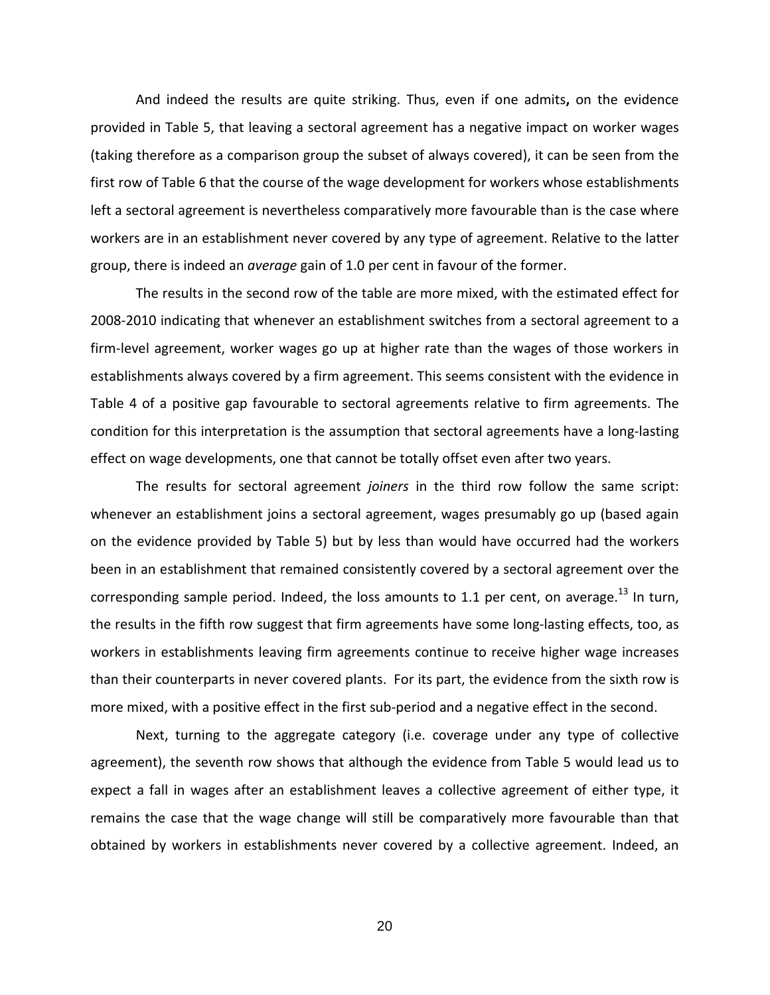And indeed the results are quite striking. Thus, even if one admits**,** on the evidence provided in Table 5, that leaving a sectoral agreement has a negative impact on worker wages (taking therefore as a comparison group the subset of always covered), it can be seen from the first row of Table 6 that the course of the wage development for workers whose establishments left a sectoral agreement is nevertheless comparatively more favourable than is the case where workers are in an establishment never covered by any type of agreement. Relative to the latter group, there is indeed an *average* gain of 1.0 per cent in favour of the former.

The results in the second row of the table are more mixed, with the estimated effect for 2008-2010 indicating that whenever an establishment switches from a sectoral agreement to a firm-level agreement, worker wages go up at higher rate than the wages of those workers in establishments always covered by a firm agreement. This seems consistent with the evidence in Table 4 of a positive gap favourable to sectoral agreements relative to firm agreements. The condition for this interpretation is the assumption that sectoral agreements have a long-lasting effect on wage developments, one that cannot be totally offset even after two years.

The results for sectoral agreement *joiners* in the third row follow the same script: whenever an establishment joins a sectoral agreement, wages presumably go up (based again on the evidence provided by Table 5) but by less than would have occurred had the workers been in an establishment that remained consistently covered by a sectoral agreement over the corresponding sample period. Indeed, the loss amounts to 1.1 per cent, on average.<sup>13</sup> In turn, the results in the fifth row suggest that firm agreements have some long-lasting effects, too, as workers in establishments leaving firm agreements continue to receive higher wage increases than their counterparts in never covered plants. For its part, the evidence from the sixth row is more mixed, with a positive effect in the first sub-period and a negative effect in the second.

Next, turning to the aggregate category (i.e. coverage under any type of collective agreement), the seventh row shows that although the evidence from Table 5 would lead us to expect a fall in wages after an establishment leaves a collective agreement of either type, it remains the case that the wage change will still be comparatively more favourable than that obtained by workers in establishments never covered by a collective agreement. Indeed, an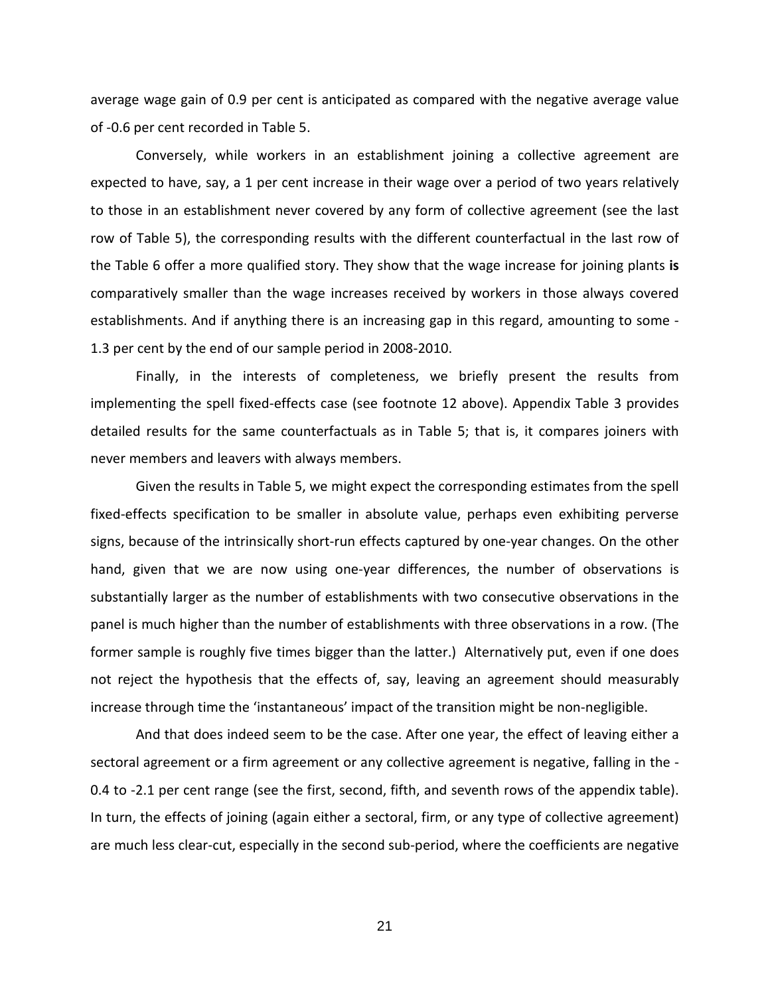average wage gain of 0.9 per cent is anticipated as compared with the negative average value of -0.6 per cent recorded in Table 5.

Conversely, while workers in an establishment joining a collective agreement are expected to have, say, a 1 per cent increase in their wage over a period of two years relatively to those in an establishment never covered by any form of collective agreement (see the last row of Table 5), the corresponding results with the different counterfactual in the last row of the Table 6 offer a more qualified story. They show that the wage increase for joining plants **is** comparatively smaller than the wage increases received by workers in those always covered establishments. And if anything there is an increasing gap in this regard, amounting to some - 1.3 per cent by the end of our sample period in 2008-2010.

Finally, in the interests of completeness, we briefly present the results from implementing the spell fixed-effects case (see footnote 12 above). Appendix Table 3 provides detailed results for the same counterfactuals as in Table 5; that is, it compares joiners with never members and leavers with always members.

Given the results in Table 5, we might expect the corresponding estimates from the spell fixed-effects specification to be smaller in absolute value, perhaps even exhibiting perverse signs, because of the intrinsically short-run effects captured by one-year changes. On the other hand, given that we are now using one-year differences, the number of observations is substantially larger as the number of establishments with two consecutive observations in the panel is much higher than the number of establishments with three observations in a row. (The former sample is roughly five times bigger than the latter.) Alternatively put, even if one does not reject the hypothesis that the effects of, say, leaving an agreement should measurably increase through time the 'instantaneous' impact of the transition might be non-negligible.

And that does indeed seem to be the case. After one year, the effect of leaving either a sectoral agreement or a firm agreement or any collective agreement is negative, falling in the - 0.4 to -2.1 per cent range (see the first, second, fifth, and seventh rows of the appendix table). In turn, the effects of joining (again either a sectoral, firm, or any type of collective agreement) are much less clear-cut, especially in the second sub-period, where the coefficients are negative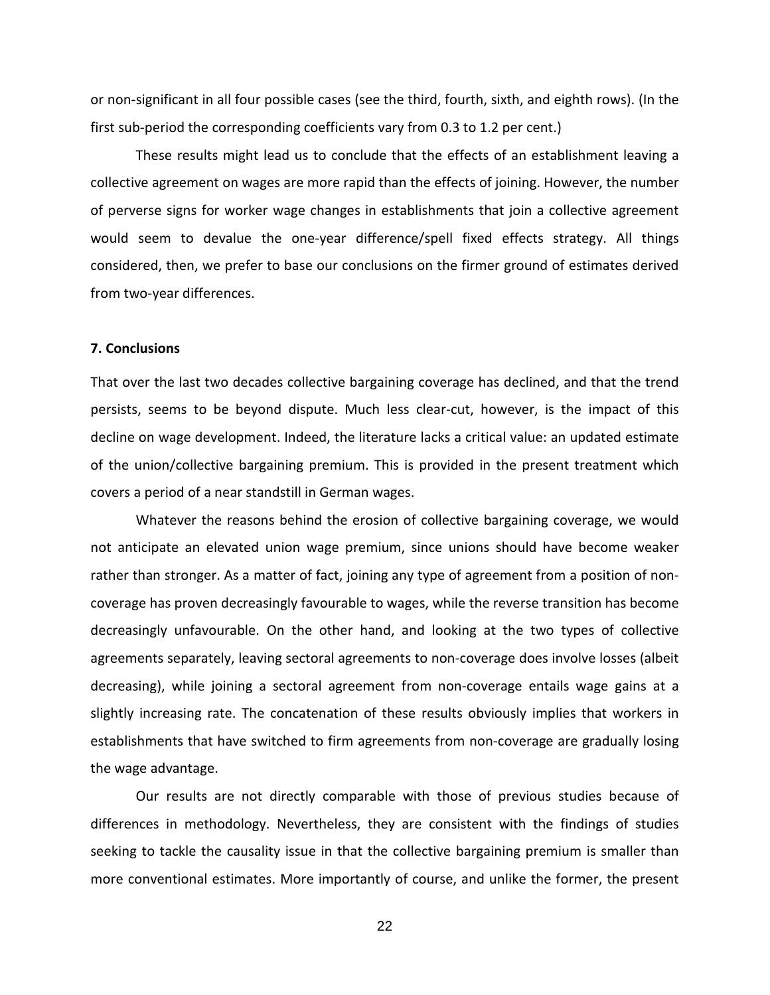or non-significant in all four possible cases (see the third, fourth, sixth, and eighth rows). (In the first sub-period the corresponding coefficients vary from 0.3 to 1.2 per cent.)

These results might lead us to conclude that the effects of an establishment leaving a collective agreement on wages are more rapid than the effects of joining. However, the number of perverse signs for worker wage changes in establishments that join a collective agreement would seem to devalue the one-year difference/spell fixed effects strategy. All things considered, then, we prefer to base our conclusions on the firmer ground of estimates derived from two-year differences.

#### **7. Conclusions**

That over the last two decades collective bargaining coverage has declined, and that the trend persists, seems to be beyond dispute. Much less clear-cut, however, is the impact of this decline on wage development. Indeed, the literature lacks a critical value: an updated estimate of the union/collective bargaining premium. This is provided in the present treatment which covers a period of a near standstill in German wages.

Whatever the reasons behind the erosion of collective bargaining coverage, we would not anticipate an elevated union wage premium, since unions should have become weaker rather than stronger. As a matter of fact, joining any type of agreement from a position of noncoverage has proven decreasingly favourable to wages, while the reverse transition has become decreasingly unfavourable. On the other hand, and looking at the two types of collective agreements separately, leaving sectoral agreements to non-coverage does involve losses (albeit decreasing), while joining a sectoral agreement from non-coverage entails wage gains at a slightly increasing rate. The concatenation of these results obviously implies that workers in establishments that have switched to firm agreements from non-coverage are gradually losing the wage advantage.

Our results are not directly comparable with those of previous studies because of differences in methodology. Nevertheless, they are consistent with the findings of studies seeking to tackle the causality issue in that the collective bargaining premium is smaller than more conventional estimates. More importantly of course, and unlike the former, the present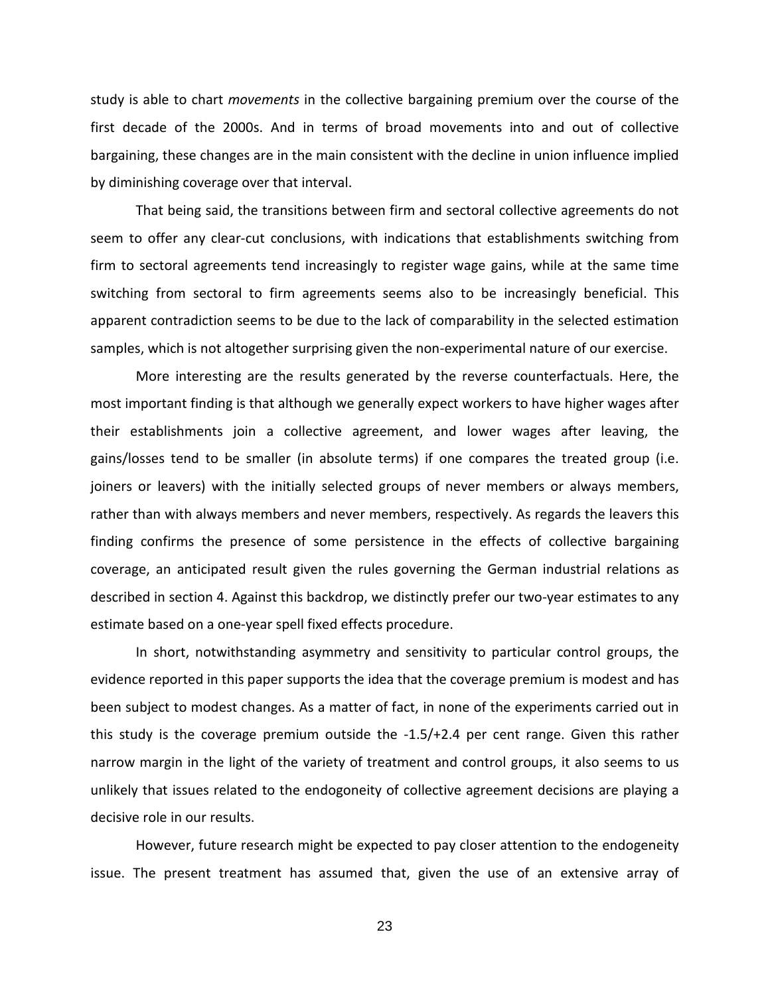study is able to chart *movements* in the collective bargaining premium over the course of the first decade of the 2000s. And in terms of broad movements into and out of collective bargaining, these changes are in the main consistent with the decline in union influence implied by diminishing coverage over that interval.

That being said, the transitions between firm and sectoral collective agreements do not seem to offer any clear-cut conclusions, with indications that establishments switching from firm to sectoral agreements tend increasingly to register wage gains, while at the same time switching from sectoral to firm agreements seems also to be increasingly beneficial. This apparent contradiction seems to be due to the lack of comparability in the selected estimation samples, which is not altogether surprising given the non-experimental nature of our exercise.

More interesting are the results generated by the reverse counterfactuals. Here, the most important finding is that although we generally expect workers to have higher wages after their establishments join a collective agreement, and lower wages after leaving, the gains/losses tend to be smaller (in absolute terms) if one compares the treated group (i.e. joiners or leavers) with the initially selected groups of never members or always members, rather than with always members and never members, respectively. As regards the leavers this finding confirms the presence of some persistence in the effects of collective bargaining coverage, an anticipated result given the rules governing the German industrial relations as described in section 4. Against this backdrop, we distinctly prefer our two-year estimates to any estimate based on a one-year spell fixed effects procedure.

In short, notwithstanding asymmetry and sensitivity to particular control groups, the evidence reported in this paper supports the idea that the coverage premium is modest and has been subject to modest changes. As a matter of fact, in none of the experiments carried out in this study is the coverage premium outside the -1.5/+2.4 per cent range. Given this rather narrow margin in the light of the variety of treatment and control groups, it also seems to us unlikely that issues related to the endogoneity of collective agreement decisions are playing a decisive role in our results.

However, future research might be expected to pay closer attention to the endogeneity issue. The present treatment has assumed that, given the use of an extensive array of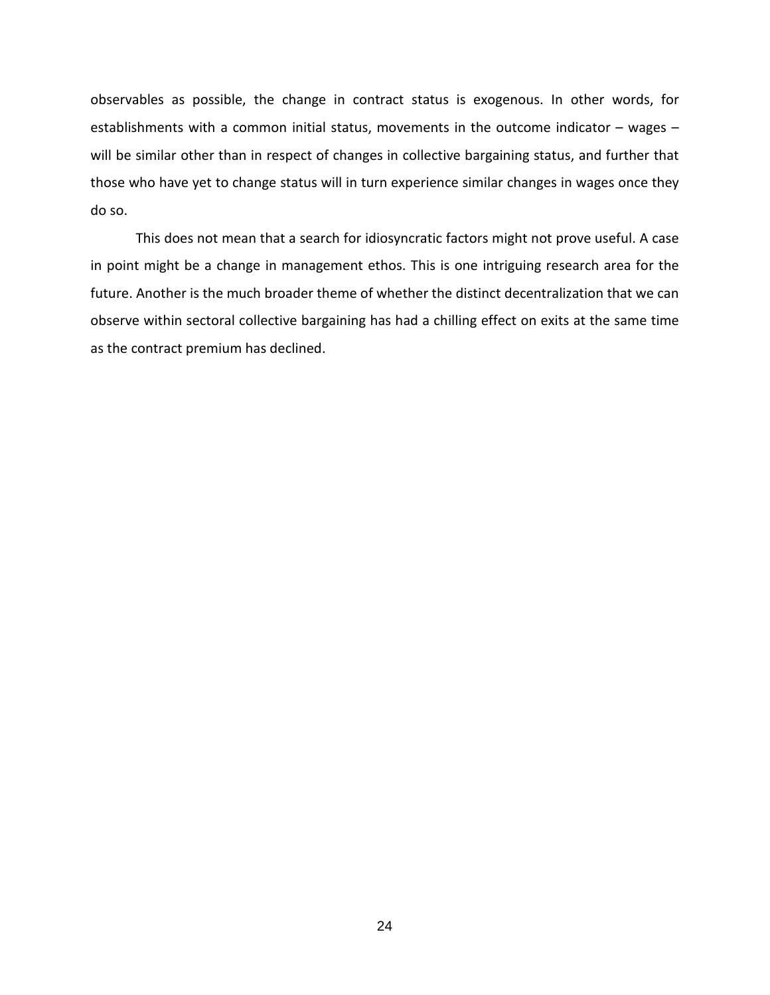observables as possible, the change in contract status is exogenous. In other words, for establishments with a common initial status, movements in the outcome indicator - wages will be similar other than in respect of changes in collective bargaining status, and further that those who have yet to change status will in turn experience similar changes in wages once they do so.

This does not mean that a search for idiosyncratic factors might not prove useful. A case in point might be a change in management ethos. This is one intriguing research area for the future. Another is the much broader theme of whether the distinct decentralization that we can observe within sectoral collective bargaining has had a chilling effect on exits at the same time as the contract premium has declined.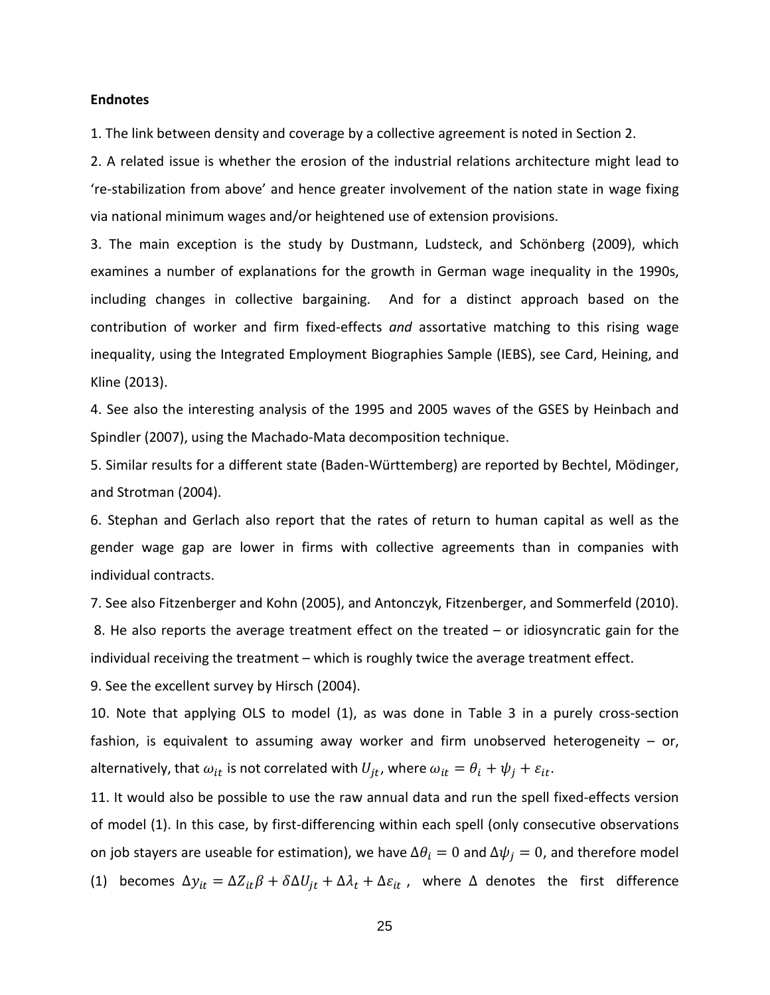#### **Endnotes**

1. The link between density and coverage by a collective agreement is noted in Section 2.

2. A related issue is whether the erosion of the industrial relations architecture might lead to 're-stabilization from above' and hence greater involvement of the nation state in wage fixing via national minimum wages and/or heightened use of extension provisions.

3. The main exception is the study by Dustmann, Ludsteck, and Schönberg (2009), which examines a number of explanations for the growth in German wage inequality in the 1990s, including changes in collective bargaining. And for a distinct approach based on the contribution of worker and firm fixed-effects *and* assortative matching to this rising wage inequality, using the Integrated Employment Biographies Sample (IEBS), see Card, Heining, and Kline (2013).

4. See also the interesting analysis of the 1995 and 2005 waves of the GSES by Heinbach and Spindler (2007), using the Machado-Mata decomposition technique.

5. Similar results for a different state (Baden-Württemberg) are reported by Bechtel, Mödinger, and Strotman (2004).

6. Stephan and Gerlach also report that the rates of return to human capital as well as the gender wage gap are lower in firms with collective agreements than in companies with individual contracts.

7. See also Fitzenberger and Kohn (2005), and Antonczyk, Fitzenberger, and Sommerfeld (2010). 8. He also reports the average treatment effect on the treated – or idiosyncratic gain for the individual receiving the treatment – which is roughly twice the average treatment effect.

9. See the excellent survey by Hirsch (2004).

10. Note that applying OLS to model (1), as was done in Table 3 in a purely cross-section fashion, is equivalent to assuming away worker and firm unobserved heterogeneity  $-$  or, alternatively, that  $\omega_{it}$  is not correlated with  $U_{it}$ , where  $\omega_{it} = \theta_i + \psi_i + \varepsilon_{it}$ .

11. It would also be possible to use the raw annual data and run the spell fixed-effects version of model (1). In this case, by first-differencing within each spell (only consecutive observations on job stayers are useable for estimation), we have  $\Delta \theta_i = 0$  and  $\Delta \psi_i = 0$ , and therefore model (1) becomes  $\Delta y_{it} = \Delta Z_{it} \beta + \delta \Delta U_{it} + \Delta \lambda_t + \Delta \varepsilon_{it}$ , where  $\Delta$  denotes the first difference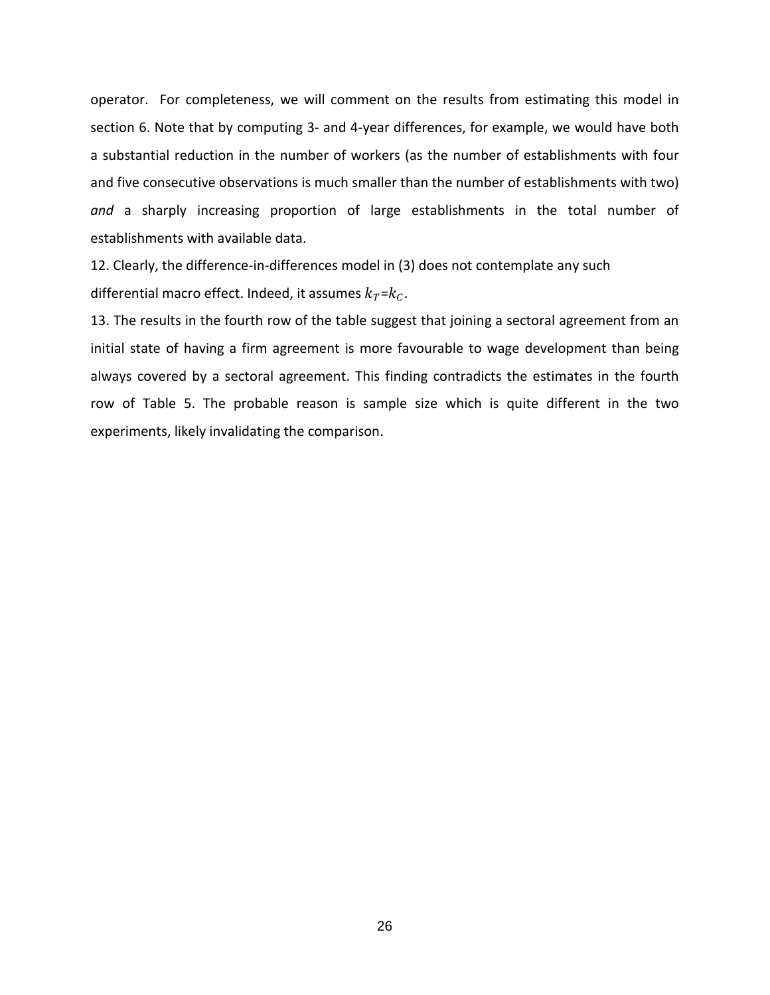operator. For completeness, we will comment on the results from estimating this model in section 6. Note that by computing 3- and 4-year differences, for example, we would have both a substantial reduction in the number of workers (as the number of establishments with four and five consecutive observations is much smaller than the number of establishments with two) *and* a sharply increasing proportion of large establishments in the total number of establishments with available data.

12. Clearly, the difference-in-differences model in (3) does not contemplate any such differential macro effect. Indeed, it assumes  $k_T = k_C$ .

13. The results in the fourth row of the table suggest that joining a sectoral agreement from an initial state of having a firm agreement is more favourable to wage development than being always covered by a sectoral agreement. This finding contradicts the estimates in the fourth row of Table 5. The probable reason is sample size which is quite different in the two experiments, likely invalidating the comparison.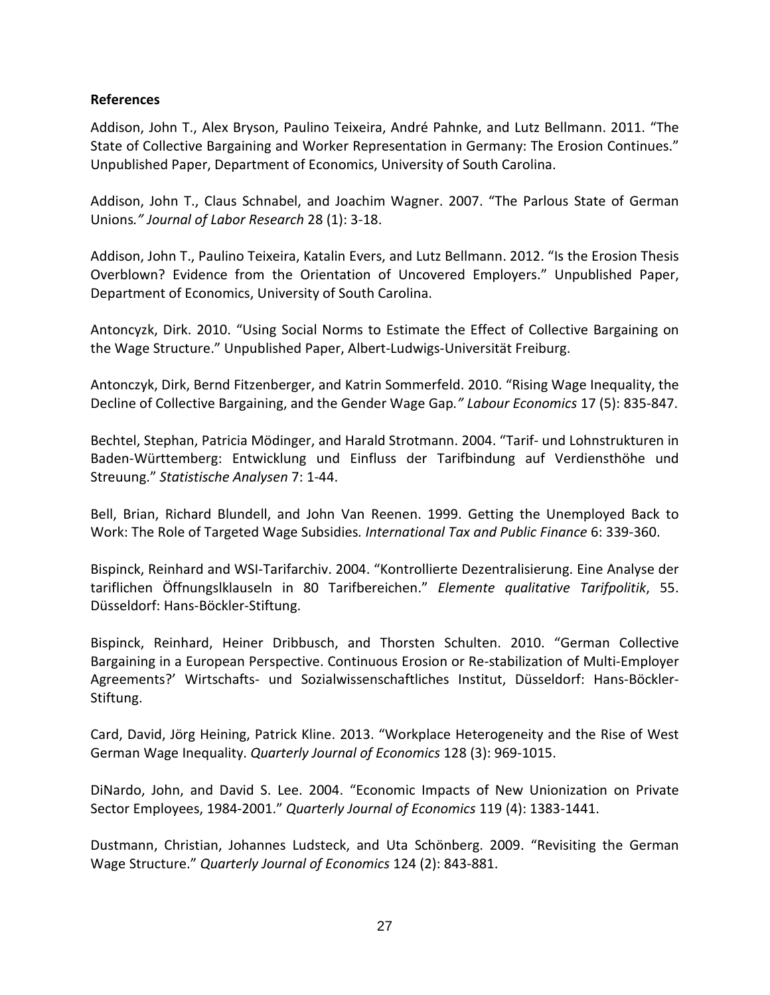#### **References**

Addison, John T., Alex Bryson, Paulino Teixeira, André Pahnke, and Lutz Bellmann. 2011. "The State of Collective Bargaining and Worker Representation in Germany: The Erosion Continues." Unpublished Paper, Department of Economics, University of South Carolina.

Addison, John T., Claus Schnabel, and Joachim Wagner. 2007. "The Parlous State of German Unions*." Journal of Labor Research* 28 (1): 3-18.

Addison, John T., Paulino Teixeira, Katalin Evers, and Lutz Bellmann. 2012. "Is the Erosion Thesis Overblown? Evidence from the Orientation of Uncovered Employers." Unpublished Paper, Department of Economics, University of South Carolina.

Antoncyzk, Dirk. 2010. "Using Social Norms to Estimate the Effect of Collective Bargaining on the Wage Structure." Unpublished Paper, Albert-Ludwigs-Universität Freiburg.

Antonczyk, Dirk, Bernd Fitzenberger, and Katrin Sommerfeld. 2010. "Rising Wage Inequality, the Decline of Collective Bargaining, and the Gender Wage Gap*." Labour Economics* 17 (5): 835-847.

Bechtel, Stephan, Patricia Mödinger, and Harald Strotmann. 2004. "Tarif- und Lohnstrukturen in Baden-Württemberg: Entwicklung und Einfluss der Tarifbindung auf Verdiensthöhe und Streuung." *Statistische Analysen* 7: 1-44.

Bell, Brian, Richard Blundell, and John Van Reenen. 1999. Getting the Unemployed Back to Work: The Role of Targeted Wage Subsidies*. International Tax and Public Finance* 6: 339-360.

Bispinck, Reinhard and WSI-Tarifarchiv. 2004. "Kontrollierte Dezentralisierung. Eine Analyse der tariflichen Öffnungslklauseln in 80 Tarifbereichen." *Elemente qualitative Tarifpolitik*, 55. Düsseldorf: Hans-Böckler-Stiftung.

Bispinck, Reinhard, Heiner Dribbusch, and Thorsten Schulten. 2010. "German Collective Bargaining in a European Perspective. Continuous Erosion or Re-stabilization of Multi-Employer Agreements?' Wirtschafts- und Sozialwissenschaftliches Institut, Düsseldorf: Hans-Böckler-Stiftung.

Card, David, Jörg Heining, Patrick Kline. 2013. "Workplace Heterogeneity and the Rise of West German Wage Inequality. *Quarterly Journal of Economics* 128 (3): 969-1015.

DiNardo, John, and David S. Lee. 2004. "Economic Impacts of New Unionization on Private Sector Employees, 1984-2001." *Quarterly Journal of Economics* 119 (4): 1383-1441.

Dustmann, Christian, Johannes Ludsteck, and Uta Schönberg. 2009. "Revisiting the German Wage Structure." *Quarterly Journal of Economics* 124 (2): 843-881.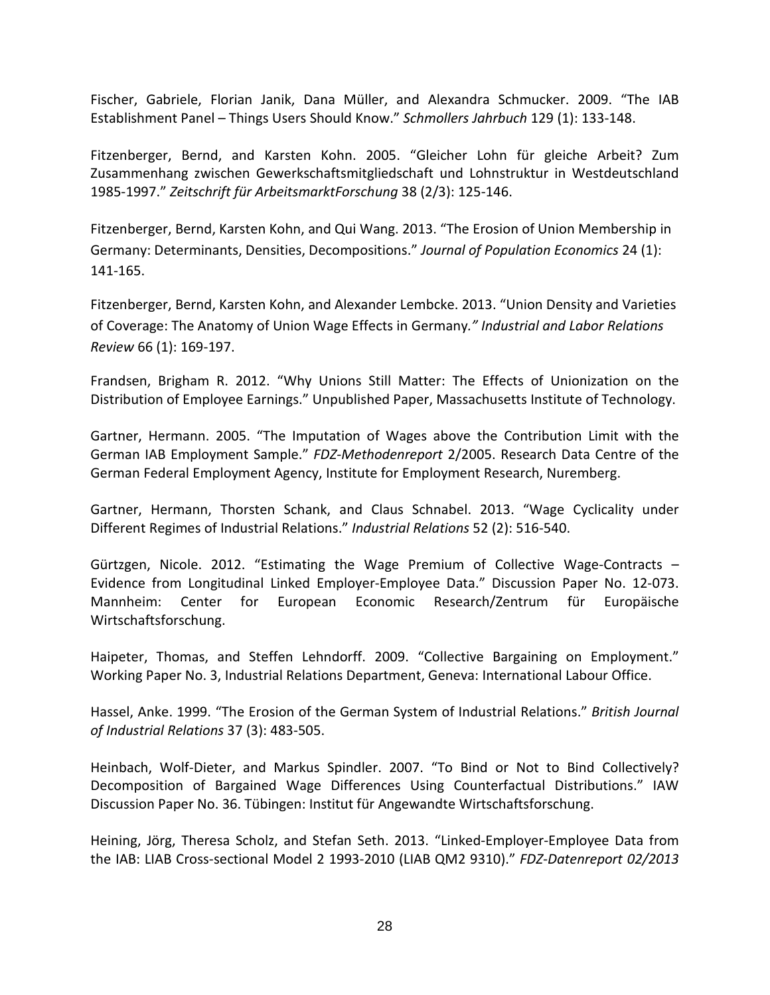Fischer, Gabriele, Florian Janik, Dana Müller, and Alexandra Schmucker. 2009. "The IAB Establishment Panel – Things Users Should Know." *Schmollers Jahrbuch* 129 (1): 133-148.

Fitzenberger, Bernd, and Karsten Kohn. 2005. "Gleicher Lohn für gleiche Arbeit? Zum Zusammenhang zwischen Gewerkschaftsmitgliedschaft und Lohnstruktur in Westdeutschland 1985-1997." *Zeitschrift für ArbeitsmarktForschung* 38 (2/3): 125-146.

Fitzenberger, Bernd, Karsten Kohn, and Qui Wang. 2013. "The Erosion of Union Membership in Germany: Determinants, Densities, Decompositions." *Journal of Population Economics* 24 (1): 141-165.

Fitzenberger, Bernd, Karsten Kohn, and Alexander Lembcke. 2013. "Union Density and Varieties of Coverage: The Anatomy of Union Wage Effects in Germany*." Industrial and Labor Relations Review* 66 (1): 169-197.

Frandsen, Brigham R. 2012. "Why Unions Still Matter: The Effects of Unionization on the Distribution of Employee Earnings." Unpublished Paper, Massachusetts Institute of Technology.

Gartner, Hermann. 2005. "The Imputation of Wages above the Contribution Limit with the German IAB Employment Sample." *FDZ-Methodenreport* 2/2005. Research Data Centre of the German Federal Employment Agency, Institute for Employment Research, Nuremberg.

Gartner, Hermann, Thorsten Schank, and Claus Schnabel. 2013. "Wage Cyclicality under Different Regimes of Industrial Relations." *Industrial Relations* 52 (2): 516-540.

Gürtzgen, Nicole. 2012. "Estimating the Wage Premium of Collective Wage-Contracts – Evidence from Longitudinal Linked Employer-Employee Data." Discussion Paper No. 12-073. Mannheim: Center for European Economic Research/Zentrum für Europäische Wirtschaftsforschung.

Haipeter, Thomas, and Steffen Lehndorff. 2009. "Collective Bargaining on Employment." Working Paper No. 3, Industrial Relations Department, Geneva: International Labour Office.

Hassel, Anke. 1999. "The Erosion of the German System of Industrial Relations." *British Journal of Industrial Relations* 37 (3): 483-505.

Heinbach, Wolf-Dieter, and Markus Spindler. 2007. "To Bind or Not to Bind Collectively? Decomposition of Bargained Wage Differences Using Counterfactual Distributions." IAW Discussion Paper No. 36. Tübingen: Institut für Angewandte Wirtschaftsforschung.

Heining, Jörg, Theresa Scholz, and Stefan Seth. 2013. "Linked-Employer-Employee Data from the IAB: LIAB Cross-sectional Model 2 1993-2010 (LIAB QM2 9310)." *FDZ-Datenreport 02/2013*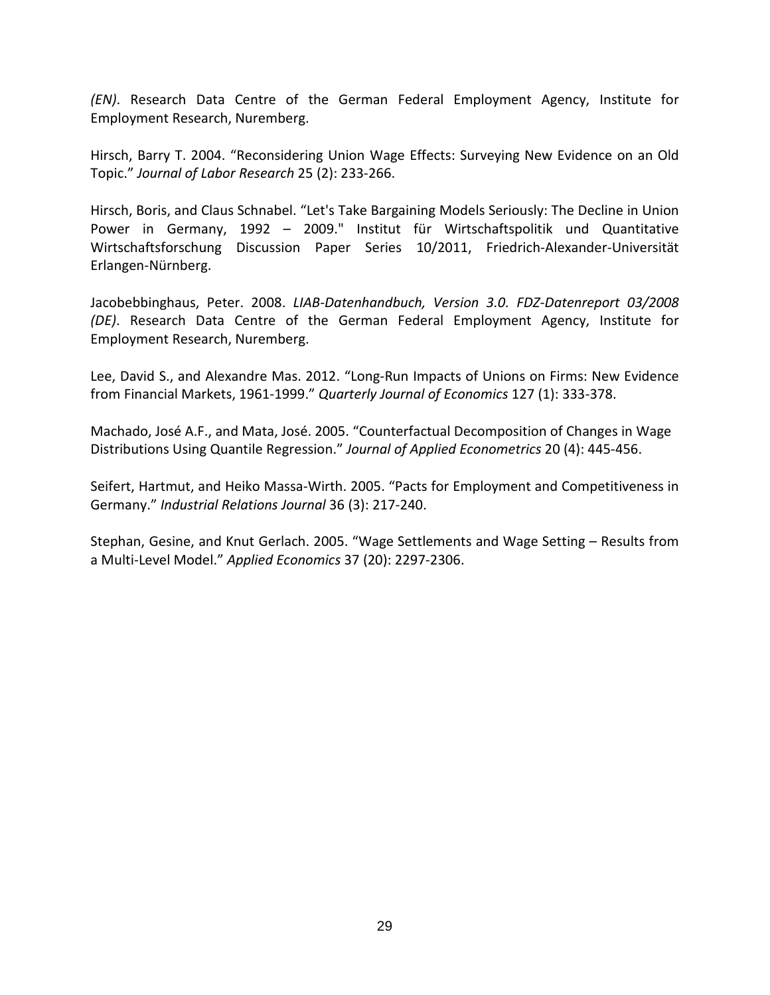*(EN)*. Research Data Centre of the German Federal Employment Agency, Institute for Employment Research, Nuremberg.

Hirsch, Barry T. 2004. "Reconsidering Union Wage Effects: Surveying New Evidence on an Old Topic." *Journal of Labor Research* 25 (2): 233-266.

Hirsch, Boris, and Claus Schnabel. "Let's Take Bargaining Models Seriously: The Decline in Union Power in Germany, 1992 – 2009." Institut für Wirtschaftspolitik und Quantitative Wirtschaftsforschung Discussion Paper Series 10/2011, Friedrich-Alexander-Universität Erlangen-Nürnberg.

Jacobebbinghaus, Peter. 2008. *LIAB-Datenhandbuch, Version 3.0. FDZ-Datenreport 03/2008 (DE)*. Research Data Centre of the German Federal Employment Agency, Institute for Employment Research, Nuremberg.

Lee, David S., and Alexandre Mas. 2012. "Long-Run Impacts of Unions on Firms: New Evidence from Financial Markets, 1961-1999." *Quarterly Journal of Economics* 127 (1): 333-378.

Machado, José A.F., and Mata, José. 2005. "Counterfactual Decomposition of Changes in Wage Distributions Using Quantile Regression." *Journal of Applied Econometrics* 20 (4): 445-456.

Seifert, Hartmut, and Heiko Massa-Wirth. 2005. "Pacts for Employment and Competitiveness in Germany." *Industrial Relations Journal* 36 (3): 217-240.

Stephan, Gesine, and Knut Gerlach. 2005. "Wage Settlements and Wage Setting – Results from a Multi-Level Model." *Applied Economics* 37 (20): 2297-2306.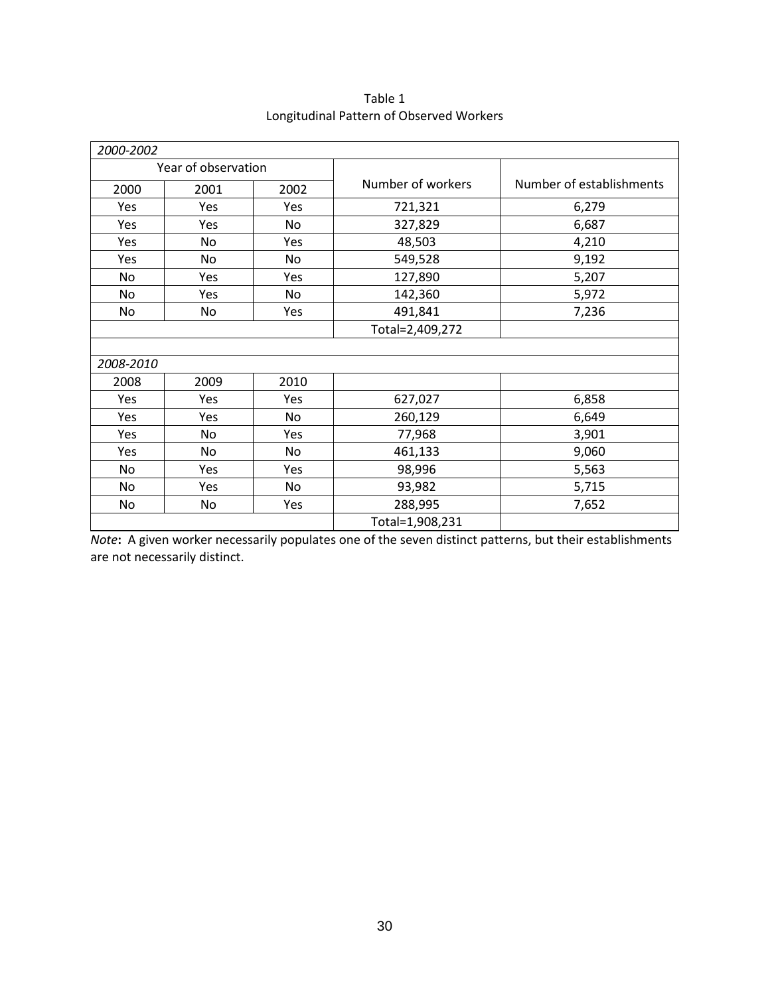| 2000-2002           |      |      |                   |                          |
|---------------------|------|------|-------------------|--------------------------|
| Year of observation |      |      |                   |                          |
| 2000                | 2001 | 2002 | Number of workers | Number of establishments |
| Yes                 | Yes  | Yes  | 721,321           | 6,279                    |
| Yes                 | Yes  | No   | 327,829           | 6,687                    |
| Yes                 | No   | Yes  | 48,503            | 4,210                    |
| Yes                 | No   | No   | 549,528           | 9,192                    |
| No                  | Yes  | Yes  | 127,890           | 5,207                    |
| No                  | Yes  | No   | 142,360           | 5,972                    |
| No                  | No   | Yes  | 491,841           | 7,236                    |
|                     |      |      | Total=2,409,272   |                          |
|                     |      |      |                   |                          |
| 2008-2010           |      |      |                   |                          |
| 2008                | 2009 | 2010 |                   |                          |
| Yes                 | Yes  | Yes  | 627,027           | 6,858                    |
| Yes                 | Yes  | No   | 260,129           | 6,649                    |
| Yes                 | No   | Yes  | 77,968            | 3,901                    |
| Yes                 | No   | No   | 461,133           | 9,060                    |
| No                  | Yes  | Yes  | 98,996            | 5,563                    |
| No                  | Yes  | No   | 93,982            | 5,715                    |
| No                  | No   | Yes  | 288,995           | 7,652                    |
|                     |      |      | Total=1,908,231   |                          |

Table 1 Longitudinal Pattern of Observed Workers

*Note***:** A given worker necessarily populates one of the seven distinct patterns, but their establishments are not necessarily distinct.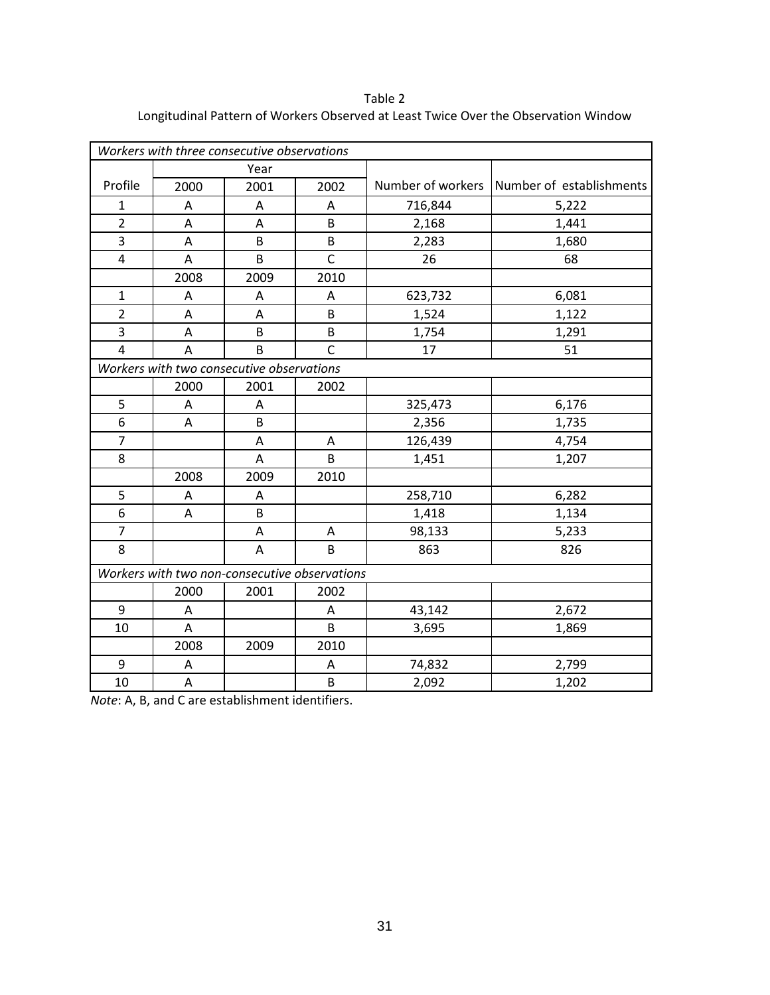*Workers with three consecutive observations* Profile Year 2000 2001 2002 Number of workers Number of establishments 1 | A | A | A | 716,844 | 5,222 2 | A | A | B | 2,168 | 1,441 3 | A | B | B | 2,283 | 1,680 4 | A | B | C | 26 | 68 2008 2009 2010 1 | A | A | A | 623,732 | 6,081 2 | A | A | B | 1,524 | 1,122 3 | A | B | B | 1,754 | 1,291 4 | A | B | C | 17 | 51 *Workers with two consecutive observations* 2000 2001 2002 5 | A | A | 325,473 | 6,176 6 | A | B | | 2,356 | 1,735 7 | A | A | 126,439 | 4,754 8 | A | B | 1,451 | 1,207 2008 2009 2010 5 | A | A | 258,710 | 6,282 6 | A | B | 1,418 | 1,134 7 | A | A | 98,133 | 5,233 8 | A | B | 863 | 826 *Workers with two non-consecutive observations* 2000 2001 2002 9 | A | A | 43,142 | 2,672 10 | A | | B | 3,695 | 1,869 2008 2009 2010 9 | A | A | 74,832 | 2,799 10 | A | | B | 2,092 | 1,202

Table 2 Longitudinal Pattern of Workers Observed at Least Twice Over the Observation Window

*Note*: A, B, and C are establishment identifiers.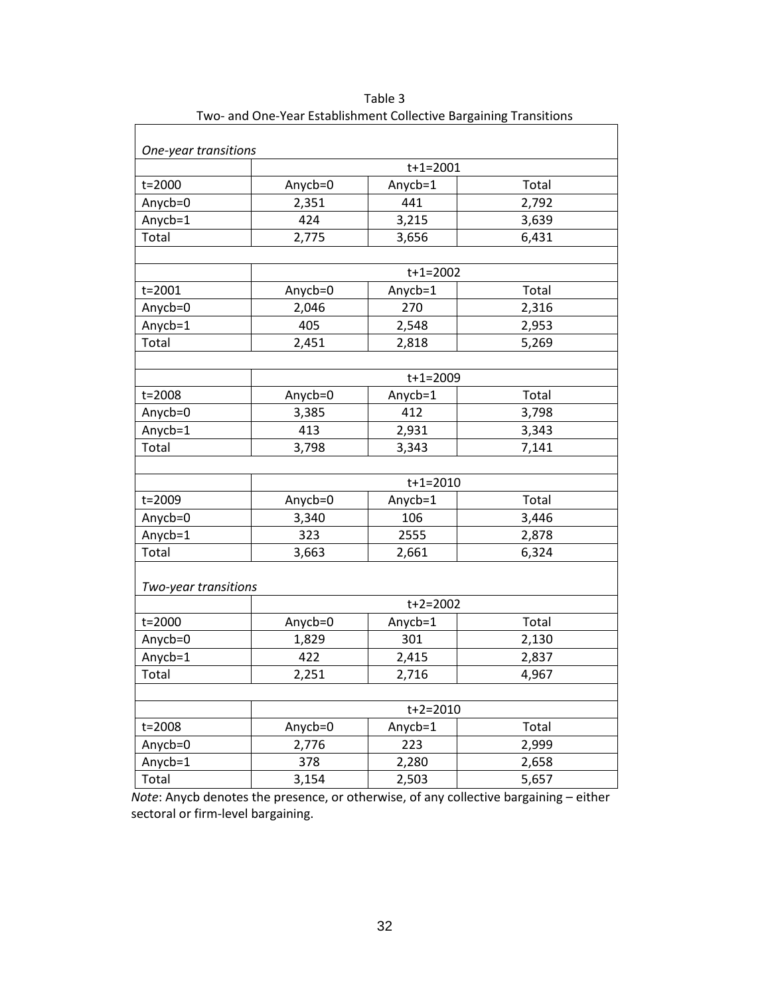|                      |         | $t+1=2001$     |       |
|----------------------|---------|----------------|-------|
| t=2000               | Anycb=0 | Anycb=1        | Total |
| Anycb=0              | 2,351   | 441            | 2,792 |
| Anycb=1              | 424     | 3,215          | 3,639 |
| Total                | 2,775   | 3,656          | 6,431 |
|                      |         |                |       |
|                      |         | $t+1=2002$     |       |
| t=2001               | Anycb=0 | Anycb=1        | Total |
| Anycb=0              | 2,046   | 270            | 2,316 |
| Anycb=1              | 405     | 2,548          | 2,953 |
| Total                | 2,451   | 2,818          | 5,269 |
|                      |         |                |       |
|                      |         | $t + 1 = 2009$ |       |
| t=2008               | Anycb=0 | Anycb=1        | Total |
| Anycb=0              | 3,385   | 412            | 3,798 |
| Anycb=1              | 413     | 2,931          | 3,343 |
| Total                | 3,798   | 3,343          | 7,141 |
|                      |         |                |       |
|                      |         | $t + 1 = 2010$ |       |
| t=2009               | Anycb=0 | Anycb=1        | Total |
| Anycb=0              | 3,340   | 106            | 3,446 |
| Anycb=1              | 323     | 2555           | 2,878 |
| Total                | 3,663   | 2,661          | 6,324 |
|                      |         |                |       |
| Two-year transitions |         |                |       |
|                      |         | $t + 2 = 2002$ |       |
| t=2000               | Anycb=0 | Anycb=1        | Total |
| Anycb=0              | 1,829   | 301            | 2,130 |
| Anycb=1              | 422     | 2,415          | 2,837 |
| Total                | 2,251   | 2,716          | 4,967 |
|                      |         |                |       |
|                      |         | $t+2=2010$     |       |
| t=2008               | Anycb=0 | Anycb=1        | Total |
| Anycb=0              | 2,776   | 223            | 2,999 |
| Anycb=1              | 378     | 2,280          | 2,658 |
| Total                | 3,154   | 2,503          | 5,657 |

Table 3 Two- and One-Year Establishment Collective Bargaining Transitions

 *Note*: Anycb denotes the presence, or otherwise, of any collective bargaining – either sectoral or firm-level bargaining.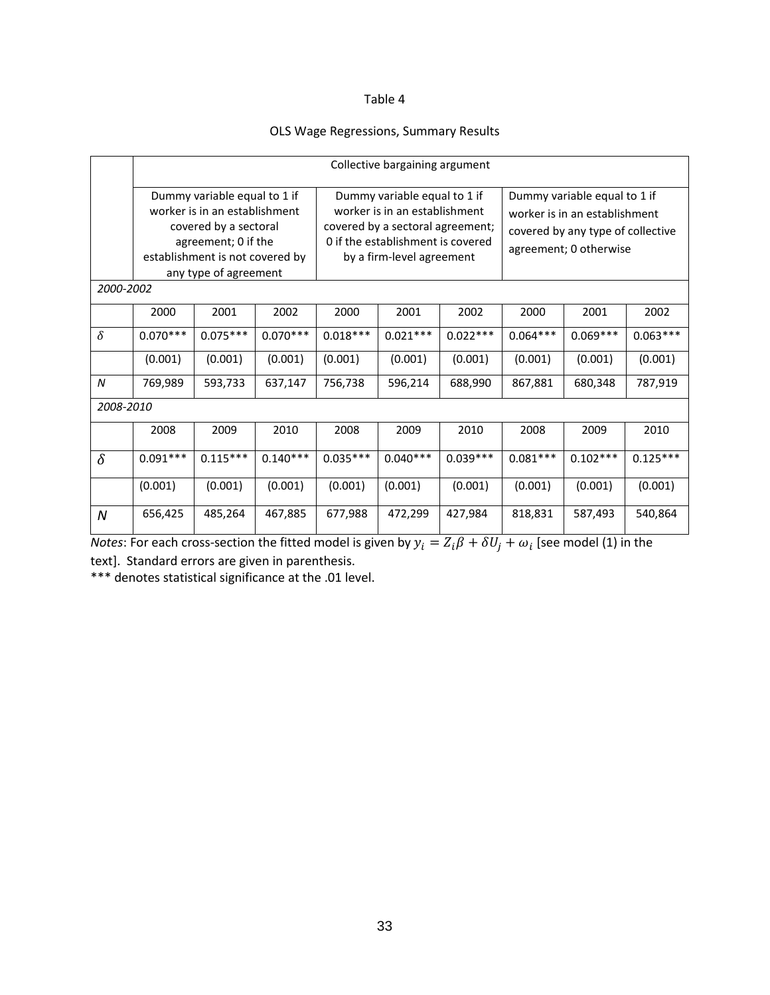#### Table 4

#### OLS Wage Regressions, Summary Results

|                  | Collective bargaining argument                                                                                                                                            |            |            |                                                                                                                                                                     |            |            |            |                                                                                                                              |            |
|------------------|---------------------------------------------------------------------------------------------------------------------------------------------------------------------------|------------|------------|---------------------------------------------------------------------------------------------------------------------------------------------------------------------|------------|------------|------------|------------------------------------------------------------------------------------------------------------------------------|------------|
|                  | Dummy variable equal to 1 if<br>worker is in an establishment<br>covered by a sectoral<br>agreement; 0 if the<br>establishment is not covered by<br>any type of agreement |            |            | Dummy variable equal to 1 if<br>worker is in an establishment<br>covered by a sectoral agreement;<br>0 if the establishment is covered<br>by a firm-level agreement |            |            |            | Dummy variable equal to 1 if<br>worker is in an establishment<br>covered by any type of collective<br>agreement; 0 otherwise |            |
| 2000-2002        |                                                                                                                                                                           |            |            |                                                                                                                                                                     |            |            |            |                                                                                                                              |            |
|                  | 2000                                                                                                                                                                      | 2001       | 2002       | 2000                                                                                                                                                                | 2001       | 2002       | 2000       | 2001                                                                                                                         | 2002       |
| $\delta$         | $0.070***$                                                                                                                                                                | $0.075***$ | $0.070***$ | $0.018***$                                                                                                                                                          | $0.021***$ | $0.022***$ | $0.064***$ | $0.069***$                                                                                                                   | $0.063***$ |
|                  | (0.001)                                                                                                                                                                   | (0.001)    | (0.001)    | (0.001)                                                                                                                                                             | (0.001)    | (0.001)    | (0.001)    | (0.001)                                                                                                                      | (0.001)    |
| $\boldsymbol{N}$ | 769,989                                                                                                                                                                   | 593,733    | 637,147    | 756,738                                                                                                                                                             | 596,214    | 688,990    | 867,881    | 680,348                                                                                                                      | 787,919    |
| 2008-2010        |                                                                                                                                                                           |            |            |                                                                                                                                                                     |            |            |            |                                                                                                                              |            |
|                  | 2008                                                                                                                                                                      | 2009       | 2010       | 2008                                                                                                                                                                | 2009       | 2010       | 2008       | 2009                                                                                                                         | 2010       |
| $\delta$         | $0.091***$                                                                                                                                                                | $0.115***$ | $0.140***$ | $0.035***$                                                                                                                                                          | $0.040***$ | $0.039***$ | $0.081***$ | $0.102***$                                                                                                                   | $0.125***$ |
|                  | (0.001)                                                                                                                                                                   | (0.001)    | (0.001)    | (0.001)                                                                                                                                                             | (0.001)    | (0.001)    | (0.001)    | (0.001)                                                                                                                      | (0.001)    |
| $\boldsymbol{N}$ | 656,425                                                                                                                                                                   | 485,264    | 467,885    | 677,988                                                                                                                                                             | 472,299    | 427,984    | 818,831    | 587,493                                                                                                                      | 540,864    |

*Notes*: For each cross-section the fitted model is given by  $y_i = Z_i \beta + \delta U_j + \omega_i$  [see model (1) in the text]. Standard errors are given in parenthesis.

\*\*\* denotes statistical significance at the .01 level.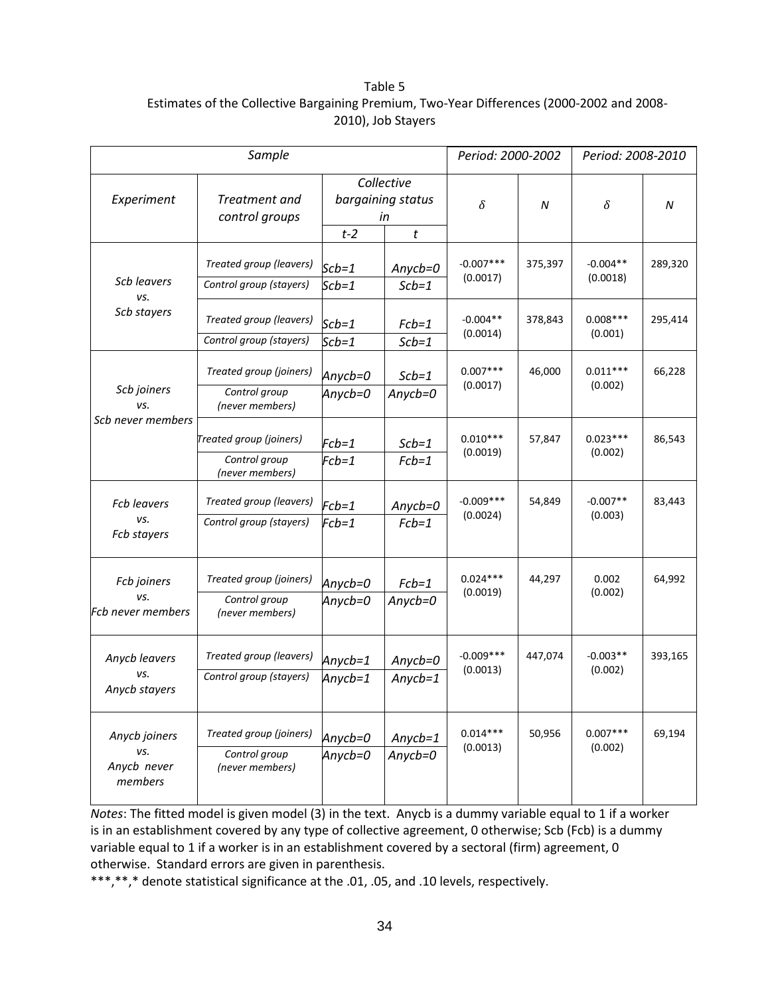#### Table 5 Estimates of the Collective Bargaining Premium, Two-Year Differences (2000-2002 and 2008- 2010), Job Stayers

| Sample                                         |                                                             |                       |                                            |                         | Period: 2000-2002 |                        | Period: 2008-2010 |  |
|------------------------------------------------|-------------------------------------------------------------|-----------------------|--------------------------------------------|-------------------------|-------------------|------------------------|-------------------|--|
| Experiment                                     | Treatment and<br>control groups                             | $t-2$                 | Collective<br>bargaining status<br>in<br>t | $\delta$                | N                 | $\delta$               | N                 |  |
| Scb leavers<br>vs.                             | Treated group (leavers)<br>Control group (stayers)          | $Scb=1$<br>$Scb=1$    | Anycb=0<br>$Scb=1$                         | $-0.007***$<br>(0.0017) | 375,397           | $-0.004**$<br>(0.0018) | 289,320           |  |
| Scb stayers                                    | Treated group (leavers)<br>Control group (stayers)          | $Scb=1$<br>$Scb=1$    | $Fcb=1$<br>$Scb=1$                         | $-0.004**$<br>(0.0014)  | 378,843           | $0.008***$<br>(0.001)  | 295,414           |  |
| Scb joiners<br>vs.                             | Treated group (joiners)<br>Control group<br>(never members) | Anycb=0<br>Anycb=0    | $Scb=1$<br>$Anycb=0$                       | $0.007***$<br>(0.0017)  | 46,000            | $0.011***$<br>(0.002)  | 66,228            |  |
| Scb never members                              | Treated group (joiners)<br>Control group<br>(never members) | $Fcb=1$<br>$Fcb=1$    | $Scb=1$<br>$Fcb=1$                         | $0.010***$<br>(0.0019)  | 57,847            | $0.023***$<br>(0.002)  | 86,543            |  |
| <b>Fcb leavers</b><br>vs.<br>Fcb stayers       | Treated group (leavers)<br>Control group (stayers)          | $Fcb=1$<br>$Fcb=1$    | $Anycb=0$<br>$Fcb=1$                       | $-0.009***$<br>(0.0024) | 54,849            | $-0.007**$<br>(0.003)  | 83,443            |  |
| Fcb joiners<br>vs.<br><b>Fcb never members</b> | Treated group (joiners)<br>Control group<br>(never members) | Anycb=0<br>Anycb=0    | $Fcb=1$<br>$Anycb=0$                       | $0.024***$<br>(0.0019)  | 44,297            | 0.002<br>(0.002)       | 64,992            |  |
| Anycb leavers<br>vs.<br>Anycb stayers          | Treated group (leavers)<br>Control group (stayers)          | Anycb=1<br>Anycb= $1$ | $Anycb=0$<br>$Anycb=1$                     | $-0.009***$<br>(0.0013) | 447,074           | $-0.003**$<br>(0.002)  | 393,165           |  |
| Anycb joiners<br>vs.<br>Anycb never<br>members | Treated group (joiners)<br>Control group<br>(never members) | Anycb=0<br>Anycb=0    | $Anycb=1$<br>$Anycb=0$                     | $0.014***$<br>(0.0013)  | 50,956            | $0.007***$<br>(0.002)  | 69,194            |  |

*Notes*: The fitted model is given model (3) in the text. Anycb is a dummy variable equal to 1 if a worker is in an establishment covered by any type of collective agreement, 0 otherwise; Scb (Fcb) is a dummy variable equal to 1 if a worker is in an establishment covered by a sectoral (firm) agreement, 0 otherwise. Standard errors are given in parenthesis.

\*\*\*,\*\*,\* denote statistical significance at the .01, .05, and .10 levels, respectively.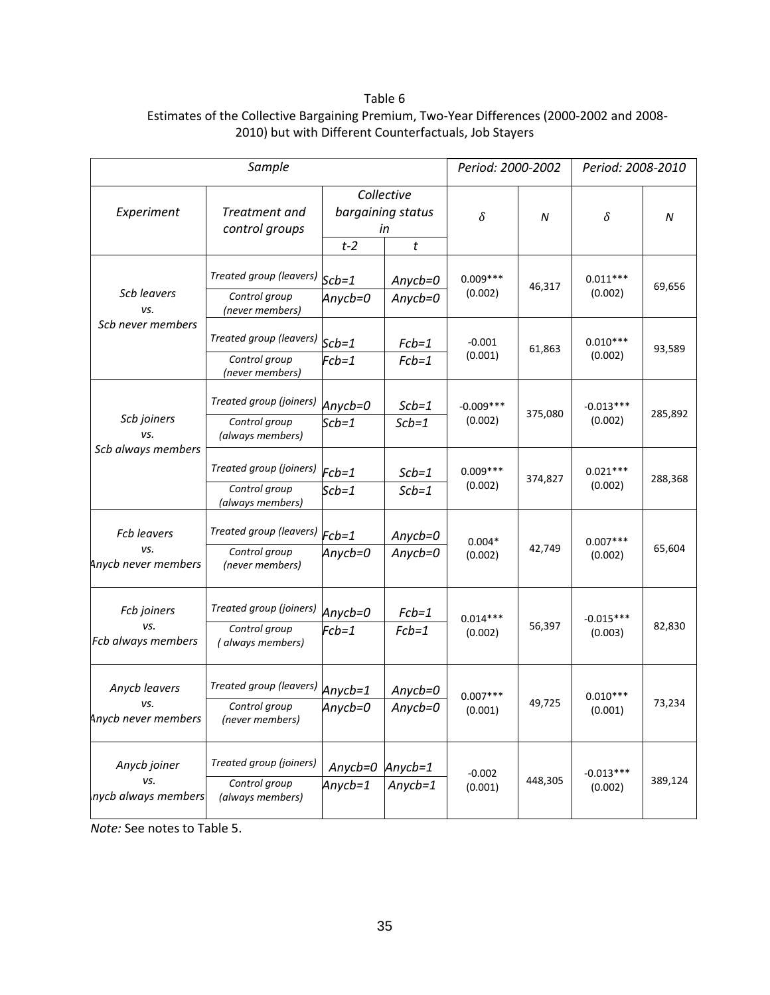#### Table 6 Estimates of the Collective Bargaining Premium, Two-Year Differences (2000-2002 and 2008- 2010) but with Different Counterfactuals, Job Stayers

| Sample                                           |                                                              |                      |                                            |                        | Period: 2000-2002 |                        | Period: 2008-2010 |  |
|--------------------------------------------------|--------------------------------------------------------------|----------------------|--------------------------------------------|------------------------|-------------------|------------------------|-------------------|--|
| Experiment                                       | Treatment and<br>control groups                              | $t-2$                | Collective<br>bargaining status<br>in<br>t | $\delta$               | Ν                 | δ                      | N                 |  |
| Scb leavers<br>vs.                               | Treated group (leavers)<br>Control group<br>(never members)  | $Scb=1$<br>Anycb=0   | $Anycb=0$<br>$Anycb=0$                     | $0.009***$<br>(0.002)  | 46,317            | $0.011***$<br>(0.002)  | 69,656            |  |
| Scb never members                                | Treated group (leavers)<br>Control group<br>(never members)  | $Scb=1$<br>$Fcb=1$   | $Fcb=1$<br>$Fcb=1$                         | $-0.001$<br>(0.001)    | 61,863            | $0.010***$<br>(0.002)  | 93,589            |  |
| Scb joiners<br>vs.<br>Scb always members         | Treated group (joiners)<br>Control group<br>(always members) | Anycb=0<br>$Scb=1$   | $Scb=1$<br>$Scb=1$                         | $-0.009***$<br>(0.002) | 375,080           | $-0.013***$<br>(0.002) | 285,892           |  |
|                                                  | Treated group (joiners)<br>Control group<br>(always members) | $Fcb=1$<br>$Scb=1$   | $Scb=1$<br>$Scb=1$                         | $0.009***$<br>(0.002)  | 374,827           | $0.021***$<br>(0.002)  | 288,368           |  |
| <b>Fcb leavers</b><br>vs.<br>Anycb never members | Treated group (leavers)<br>Control group<br>(never members)  | $Fcb=1$<br>Anycb=0   | $Anycb=0$<br>$Anycb=0$                     | $0.004*$<br>(0.002)    | 42,749            | $0.007***$<br>(0.002)  | 65,604            |  |
| Fcb joiners<br>vs.<br>Fcb always members         | Treated group (joiners)<br>Control group<br>(always members) | Anycb=0<br>$Fcb=1$   | $Fcb=1$<br>$Fcb=1$                         | $0.014***$<br>(0.002)  | 56,397            | $-0.015***$<br>(0.003) | 82,830            |  |
| Anycb leavers<br>vs.<br>Anycb never members      | Treated group (leavers)<br>Control group<br>(never members)  | $Anycb=1$<br>Anycb=0 | $Anycb=0$<br>$Anycb=0$                     | $0.007***$<br>(0.001)  | 49,725            | $0.010***$<br>(0.001)  | 73,234            |  |
| Anycb joiner<br>vs.<br>nycb always members       | Treated group (joiners)<br>Control group<br>(always members) | Anycb=0<br>Anycb=1   | $Anycb=1$<br>$Anycb=1$                     | $-0.002$<br>(0.001)    | 448,305           | $-0.013***$<br>(0.002) | 389,124           |  |

*Note:* See notes to Table 5.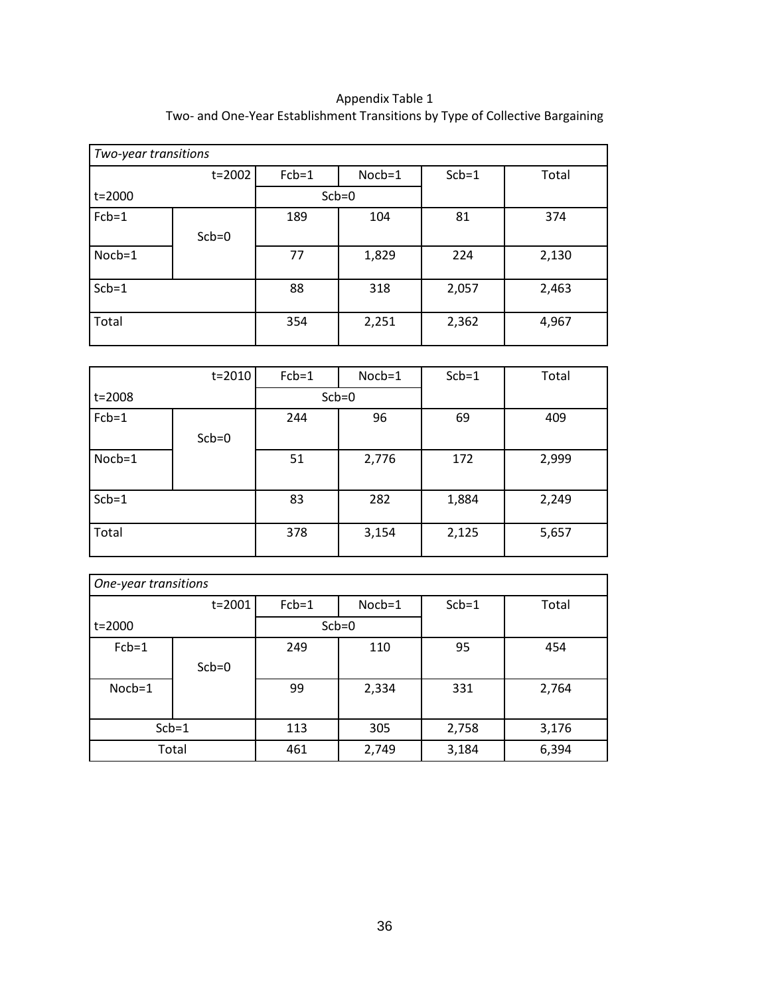| Appendix Table 1                                                             |
|------------------------------------------------------------------------------|
| Two- and One-Year Establishment Transitions by Type of Collective Bargaining |

| Two-year transitions |         |         |         |         |       |  |  |  |
|----------------------|---------|---------|---------|---------|-------|--|--|--|
|                      | t=2002  | $Fcb=1$ | Nocb=1  | $Scb=1$ | Total |  |  |  |
| $t = 2000$           |         |         | $Scb=0$ |         |       |  |  |  |
| $Fcb=1$              |         | 189     | 104     | 81      | 374   |  |  |  |
|                      | $Scb=0$ |         |         |         |       |  |  |  |
| Nocb=1               |         | 77      | 1,829   | 224     | 2,130 |  |  |  |
| $Scb=1$              |         | 88      | 318     | 2,057   | 2,463 |  |  |  |
| Total                |         | 354     | 2,251   | 2,362   | 4,967 |  |  |  |

|          | $t = 2010$ | $Fcb=1$ | $Noch=1$ | $Scb=1$ | Total |
|----------|------------|---------|----------|---------|-------|
| t=2008   |            |         | $Scb=0$  |         |       |
| $Fcb=1$  |            | 244     | 96       | 69      | 409   |
|          | $Scb=0$    |         |          |         |       |
| $Noch=1$ |            | 51      | 2,776    | 172     | 2,999 |
|          |            |         |          |         |       |
| $Scb=1$  |            | 83      | 282      | 1,884   | 2,249 |
|          |            |         |          |         |       |
| Total    |            | 378     | 3,154    | 2,125   | 5,657 |

| One-year transitions |         |         |         |         |       |  |  |  |
|----------------------|---------|---------|---------|---------|-------|--|--|--|
|                      | t=2001  | $Fcb=1$ | Nocb=1  | $Scb=1$ | Total |  |  |  |
| t=2000               |         |         | $Scb=0$ |         |       |  |  |  |
| $Fcb=1$              |         | 249     | 110     | 95      | 454   |  |  |  |
|                      | $Scb=0$ |         |         |         |       |  |  |  |
| $Noch=1$             |         | 99      | 2,334   | 331     | 2,764 |  |  |  |
| $Scb=1$              |         | 113     | 305     | 2,758   | 3,176 |  |  |  |
|                      | Total   | 461     | 2,749   | 3,184   | 6,394 |  |  |  |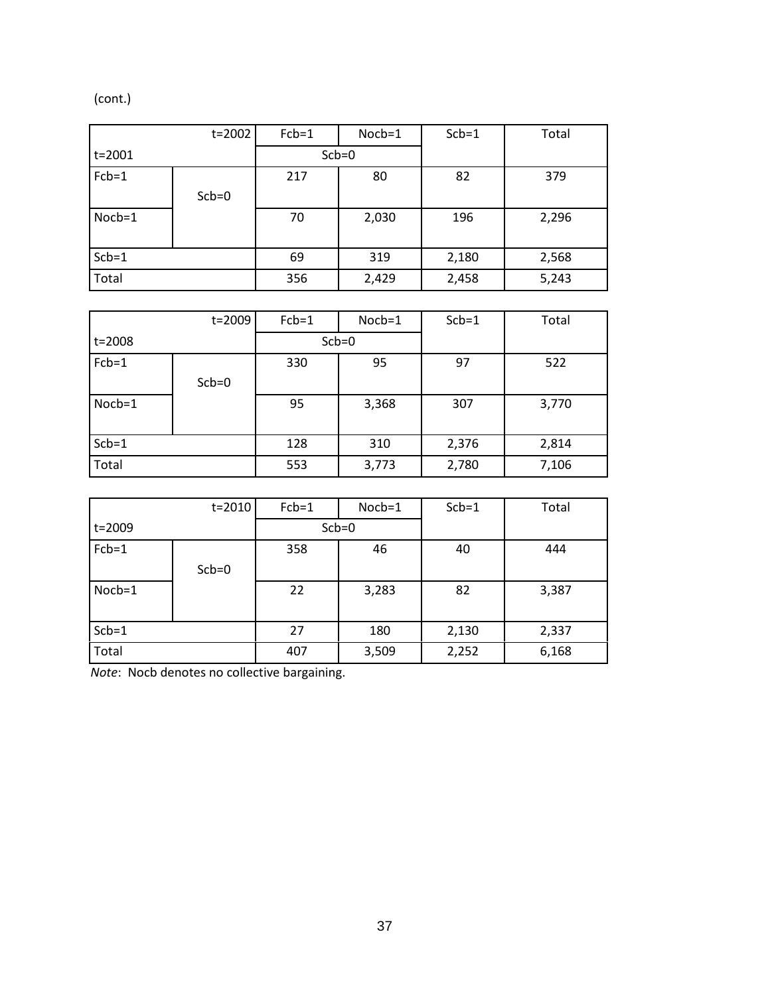(cont.)

|            | t=2002  | $Fcb=1$ | $Noch=1$ | $Scb=1$ | Total |
|------------|---------|---------|----------|---------|-------|
| $t = 2001$ |         | $Scb=0$ |          |         |       |
| $Fcb=1$    |         | 217     | 80       | 82      | 379   |
|            | $Scb=0$ |         |          |         |       |
| Nocb=1     |         | 70      | 2,030    | 196     | 2,296 |
|            |         |         |          |         |       |
| $Scb=1$    |         | 69      | 319      | 2,180   | 2,568 |
| Total      |         | 356     | 2,429    | 2,458   | 5,243 |

|            | t=2009  | $Fcb=1$ | Nocb=1 | $Scb=1$ | Total |
|------------|---------|---------|--------|---------|-------|
| $t = 2008$ |         | $Scb=0$ |        |         |       |
| $Fcb=1$    |         | 330     | 95     | 97      | 522   |
|            | $Scb=0$ |         |        |         |       |
| $Noch=1$   |         | 95      | 3,368  | 307     | 3,770 |
|            |         |         |        |         |       |
| $Scb=1$    |         | 128     | 310    | 2,376   | 2,814 |
| Total      |         | 553     | 3,773  | 2,780   | 7,106 |

|          | $t = 2010$ | $Fcb=1$ | $Nocb=1$ | $Scb=1$ | Total |
|----------|------------|---------|----------|---------|-------|
| t=2009   |            |         | $Scb=0$  |         |       |
| $Fcb=1$  |            | 358     | 46       | 40      | 444   |
|          | $Scb=0$    |         |          |         |       |
| $Noch=1$ |            | 22      | 3,283    | 82      | 3,387 |
|          |            |         |          |         |       |
| $Scb=1$  |            | 27      | 180      | 2,130   | 2,337 |
| Total    |            | 407     | 3,509    | 2,252   | 6,168 |

*Note*: Nocb denotes no collective bargaining.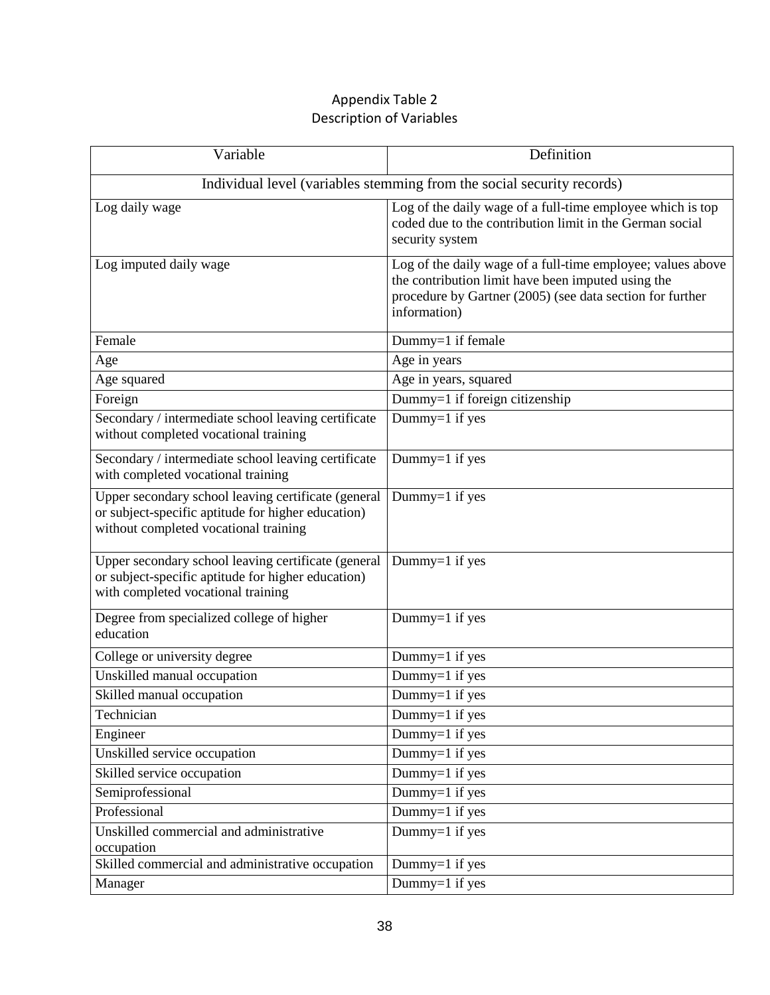### Appendix Table 2 Description of Variables

| Variable                                                                                                                                           | Definition                                                                                                                                                                                     |  |  |  |  |  |
|----------------------------------------------------------------------------------------------------------------------------------------------------|------------------------------------------------------------------------------------------------------------------------------------------------------------------------------------------------|--|--|--|--|--|
| Individual level (variables stemming from the social security records)                                                                             |                                                                                                                                                                                                |  |  |  |  |  |
| Log daily wage                                                                                                                                     | Log of the daily wage of a full-time employee which is top<br>coded due to the contribution limit in the German social<br>security system                                                      |  |  |  |  |  |
| Log imputed daily wage                                                                                                                             | Log of the daily wage of a full-time employee; values above<br>the contribution limit have been imputed using the<br>procedure by Gartner (2005) (see data section for further<br>information) |  |  |  |  |  |
| Female                                                                                                                                             | Dummy=1 if female                                                                                                                                                                              |  |  |  |  |  |
| Age                                                                                                                                                | Age in years                                                                                                                                                                                   |  |  |  |  |  |
| Age squared                                                                                                                                        | Age in years, squared                                                                                                                                                                          |  |  |  |  |  |
| Foreign                                                                                                                                            | Dummy=1 if foreign citizenship                                                                                                                                                                 |  |  |  |  |  |
| Secondary / intermediate school leaving certificate<br>without completed vocational training                                                       | Dummy=1 if yes                                                                                                                                                                                 |  |  |  |  |  |
| Secondary / intermediate school leaving certificate<br>with completed vocational training                                                          | Dummy=1 if yes                                                                                                                                                                                 |  |  |  |  |  |
| Upper secondary school leaving certificate (general<br>or subject-specific aptitude for higher education)<br>without completed vocational training | Dummy= $1$ if yes                                                                                                                                                                              |  |  |  |  |  |
| Upper secondary school leaving certificate (general<br>or subject-specific aptitude for higher education)<br>with completed vocational training    | Dummy=1 if yes                                                                                                                                                                                 |  |  |  |  |  |
| Degree from specialized college of higher<br>education                                                                                             | Dummy=1 if yes                                                                                                                                                                                 |  |  |  |  |  |
| College or university degree                                                                                                                       | Dummy=1 if yes                                                                                                                                                                                 |  |  |  |  |  |
| Unskilled manual occupation                                                                                                                        | Dummy= $1$ if yes                                                                                                                                                                              |  |  |  |  |  |
| Skilled manual occupation                                                                                                                          | Dummy=1 if yes                                                                                                                                                                                 |  |  |  |  |  |
| Technician                                                                                                                                         | Dummy=1 if yes                                                                                                                                                                                 |  |  |  |  |  |
| Engineer                                                                                                                                           | Dummy=1 if yes                                                                                                                                                                                 |  |  |  |  |  |
| Unskilled service occupation                                                                                                                       | Dummy=1 if yes                                                                                                                                                                                 |  |  |  |  |  |
| Skilled service occupation                                                                                                                         | Dummy= $1$ if yes                                                                                                                                                                              |  |  |  |  |  |
| Semiprofessional                                                                                                                                   | Dummy=1 if yes                                                                                                                                                                                 |  |  |  |  |  |
| Professional                                                                                                                                       | Dummy=1 if yes                                                                                                                                                                                 |  |  |  |  |  |
| Unskilled commercial and administrative<br>occupation                                                                                              | Dummy=1 if yes                                                                                                                                                                                 |  |  |  |  |  |
| Skilled commercial and administrative occupation                                                                                                   | Dummy=1 if yes                                                                                                                                                                                 |  |  |  |  |  |
| Manager                                                                                                                                            | $\overline{\text{Dummy}}$ =1 if yes                                                                                                                                                            |  |  |  |  |  |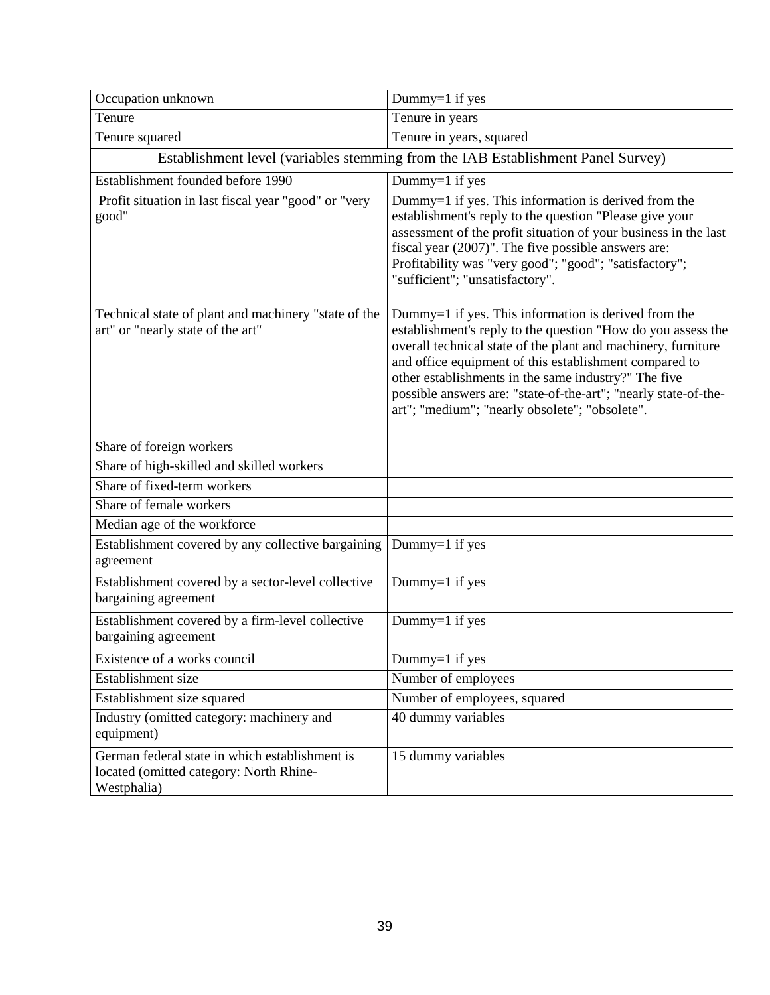| Occupation unknown                                                                                       | Dummy=1 if yes                                                                                                                                                                                                                                                                                                                                                                                                               |  |  |  |  |
|----------------------------------------------------------------------------------------------------------|------------------------------------------------------------------------------------------------------------------------------------------------------------------------------------------------------------------------------------------------------------------------------------------------------------------------------------------------------------------------------------------------------------------------------|--|--|--|--|
| Tenure                                                                                                   | Tenure in years                                                                                                                                                                                                                                                                                                                                                                                                              |  |  |  |  |
| Tenure squared                                                                                           | Tenure in years, squared                                                                                                                                                                                                                                                                                                                                                                                                     |  |  |  |  |
| Establishment level (variables stemming from the IAB Establishment Panel Survey)                         |                                                                                                                                                                                                                                                                                                                                                                                                                              |  |  |  |  |
| Establishment founded before 1990                                                                        | Dummy=1 if yes                                                                                                                                                                                                                                                                                                                                                                                                               |  |  |  |  |
| Profit situation in last fiscal year "good" or "very<br>good"                                            | Dummy=1 if yes. This information is derived from the<br>establishment's reply to the question "Please give your<br>assessment of the profit situation of your business in the last<br>fiscal year (2007)". The five possible answers are:<br>Profitability was "very good"; "good"; "satisfactory";<br>"sufficient"; "unsatisfactory".                                                                                       |  |  |  |  |
| Technical state of plant and machinery "state of the<br>art" or "nearly state of the art"                | Dummy=1 if yes. This information is derived from the<br>establishment's reply to the question "How do you assess the<br>overall technical state of the plant and machinery, furniture<br>and office equipment of this establishment compared to<br>other establishments in the same industry?" The five<br>possible answers are: "state-of-the-art"; "nearly state-of-the-<br>art"; "medium"; "nearly obsolete"; "obsolete". |  |  |  |  |
| Share of foreign workers                                                                                 |                                                                                                                                                                                                                                                                                                                                                                                                                              |  |  |  |  |
| Share of high-skilled and skilled workers                                                                |                                                                                                                                                                                                                                                                                                                                                                                                                              |  |  |  |  |
| Share of fixed-term workers                                                                              |                                                                                                                                                                                                                                                                                                                                                                                                                              |  |  |  |  |
| Share of female workers                                                                                  |                                                                                                                                                                                                                                                                                                                                                                                                                              |  |  |  |  |
| Median age of the workforce                                                                              |                                                                                                                                                                                                                                                                                                                                                                                                                              |  |  |  |  |
| Establishment covered by any collective bargaining<br>agreement                                          | Dummy=1 if yes                                                                                                                                                                                                                                                                                                                                                                                                               |  |  |  |  |
| Establishment covered by a sector-level collective<br>bargaining agreement                               | Dummy=1 if yes                                                                                                                                                                                                                                                                                                                                                                                                               |  |  |  |  |
| Establishment covered by a firm-level collective<br>bargaining agreement                                 | Dummy=1 if yes                                                                                                                                                                                                                                                                                                                                                                                                               |  |  |  |  |
| Existence of a works council                                                                             | Dummy=1 if yes                                                                                                                                                                                                                                                                                                                                                                                                               |  |  |  |  |
| Establishment size                                                                                       | Number of employees                                                                                                                                                                                                                                                                                                                                                                                                          |  |  |  |  |
| Establishment size squared                                                                               | Number of employees, squared                                                                                                                                                                                                                                                                                                                                                                                                 |  |  |  |  |
| Industry (omitted category: machinery and<br>equipment)                                                  | 40 dummy variables                                                                                                                                                                                                                                                                                                                                                                                                           |  |  |  |  |
| German federal state in which establishment is<br>located (omitted category: North Rhine-<br>Westphalia) | 15 dummy variables                                                                                                                                                                                                                                                                                                                                                                                                           |  |  |  |  |